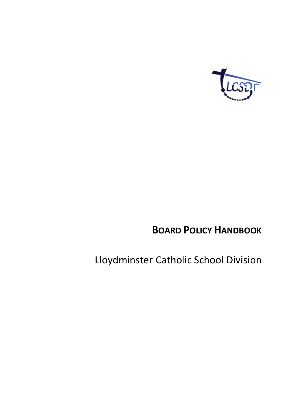

# **BOARD POLICY HANDBOOK**

# Lloydminster Catholic School Division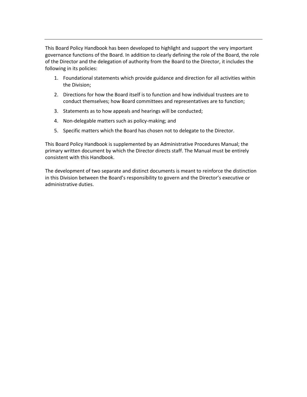This Board Policy Handbook has been developed to highlight and support the very important governance functions of the Board. In addition to clearly defining the role of the Board, the role of the Director and the delegation of authority from the Board to the Director, it includes the following in its policies:

- 1. Foundational statements which provide guidance and direction for all activities within the Division;
- 2. Directions for how the Board itself is to function and how individual trustees are to conduct themselves; how Board committees and representatives are to function;
- 3. Statements as to how appeals and hearings will be conducted;
- 4. Non-delegable matters such as policy-making; and
- 5. Specific matters which the Board has chosen not to delegate to the Director.

This Board Policy Handbook is supplemented by an Administrative Procedures Manual; the primary written document by which the Director directs staff. The Manual must be entirely consistent with this Handbook.

The development of two separate and distinct documents is meant to reinforce the distinction in this Division between the Board's responsibility to govern and the Director's executive or administrative duties.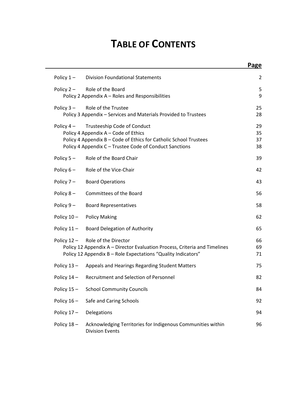# **TABLE OF CONTENTS**

|               |                                                                                                                                                                                                     | Page                 |
|---------------|-----------------------------------------------------------------------------------------------------------------------------------------------------------------------------------------------------|----------------------|
| Policy $1 -$  | <b>Division Foundational Statements</b>                                                                                                                                                             | 2                    |
| Policy $2 -$  | Role of the Board<br>Policy 2 Appendix A - Roles and Responsibilities                                                                                                                               | 5<br>9               |
| Policy $3 -$  | Role of the Trustee<br>Policy 3 Appendix - Services and Materials Provided to Trustees                                                                                                              | 25<br>28             |
| Policy $4-$   | Trusteeship Code of Conduct<br>Policy 4 Appendix A - Code of Ethics<br>Policy 4 Appendix B - Code of Ethics for Catholic School Trustees<br>Policy 4 Appendix C - Trustee Code of Conduct Sanctions | 29<br>35<br>37<br>38 |
| Policy $5 -$  | Role of the Board Chair                                                                                                                                                                             | 39                   |
| Policy $6-$   | Role of the Vice-Chair                                                                                                                                                                              | 42                   |
| Policy $7-$   | <b>Board Operations</b>                                                                                                                                                                             | 43                   |
| Policy $8-$   | Committees of the Board                                                                                                                                                                             | 56                   |
| Policy $9-$   | <b>Board Representatives</b>                                                                                                                                                                        | 58                   |
| Policy 10-    | <b>Policy Making</b>                                                                                                                                                                                | 62                   |
| Policy $11 -$ | <b>Board Delegation of Authority</b>                                                                                                                                                                | 65                   |
|               | Policy 12 - Role of the Director<br>Policy 12 Appendix A - Director Evaluation Process, Criteria and Timelines<br>Policy 12 Appendix B - Role Expectations "Quality Indicators"                     | 66<br>69<br>71       |
| Policy $13 -$ | Appeals and Hearings Regarding Student Matters                                                                                                                                                      | 75                   |
| Policy $14 -$ | Recruitment and Selection of Personnel                                                                                                                                                              | 82                   |
| Policy 15-    | <b>School Community Councils</b>                                                                                                                                                                    | 84                   |
| Policy $16 -$ | Safe and Caring Schools                                                                                                                                                                             | 92                   |
| Policy $17 -$ | Delegations                                                                                                                                                                                         | 94                   |
| Policy 18-    | Acknowledging Territories for Indigenous Communities within<br><b>Division Events</b>                                                                                                               | 96                   |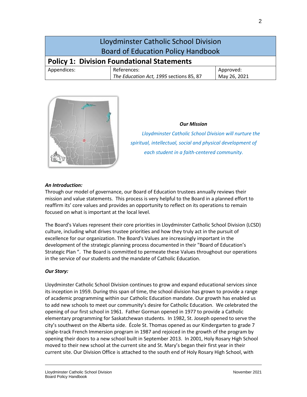| Lloydminster Catholic School Division<br><b>Board of Education Policy Handbook</b> |                                                        |                           |
|------------------------------------------------------------------------------------|--------------------------------------------------------|---------------------------|
| <b>Policy 1: Division Foundational Statements</b>                                  |                                                        |                           |
| Appendices:                                                                        | References:<br>The Education Act, 1995 sections 85, 87 | Approved:<br>May 26, 2021 |



#### *Our Mission*

 *Lloydminster Catholic School Division will nurture the spiritual, intellectual, social and physical development of each student in a faith-centered community.*

#### *An Introduction:*

Through our model of governance, our Board of Education trustees annually reviews their mission and value statements. This process is very helpful to the Board in a planned effort to reaffirm its' core values and provides an opportunity to reflect on its operations to remain focused on what is important at the local level.

The Board's Values represent their core priorities in Lloydminster Catholic School Division (LCSD) culture, including what drives trustee priorities and how they truly act in the pursuit of excellence for our organization. The Board's Values are increasingly important in the development of the strategic planning process documented in their "Board of Education's Strategic Plan ". The Board is committed to permeate these Values throughout our operations in the service of our students and the mandate of Catholic Education.

#### *Our Story:*

Lloydminster Catholic School Division continues to grow and expand educational services since its inception in 1959. During this span of time, the school division has grown to provide a range of academic programming within our Catholic Education mandate. Our growth has enabled us to add new schools to meet our community's desire for Catholic Education. We celebrated the opening of our first school in 1961. Father Gorman opened in 1977 to provide a Catholic elementary programming for Saskatchewan students. In 1982, St. Joseph opened to serve the city's southwest on the Alberta side. École St. Thomas opened as our Kindergarten to grade 7 single-track French Immersion program in 1987 and rejoiced in the growth of the program by opening their doors to a new school built in September 2013. In 2001, Holy Rosary High School moved to their new school at the current site and St. Mary's began their first year in their current site. Our Division Office is attached to the south end of Holy Rosary High School, with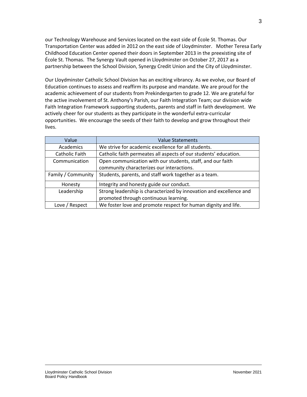our Technology Warehouse and Services located on the east side of École St. Thomas. Our Transportation Center was added in 2012 on the east side of Lloydminster. Mother Teresa Early Childhood Education Center opened their doors in September 2013 in the preexisting site of École St. Thomas. The Synergy Vault opened in Lloydminster on October 27, 2017 as a partnership between the School Division, Synergy Credit Union and the City of Lloydminster.

Our Lloydminster Catholic School Division has an exciting vibrancy. As we evolve, our Board of Education continues to assess and reaffirm its purpose and mandate. We are proud for the academic achievement of our students from Prekindergarten to grade 12. We are grateful for the active involvement of St. Anthony's Parish, our Faith Integration Team; our division wide Faith Integration Framework supporting students, parents and staff in faith development. We actively cheer for our students as they participate in the wonderful extra-curricular opportunities. We encourage the seeds of their faith to develop and grow throughout their lives.

| Value              | <b>Value Statements</b>                                             |
|--------------------|---------------------------------------------------------------------|
| Academics          | We strive for academic excellence for all students.                 |
| Catholic Faith     | Catholic faith permeates all aspects of our students' education.    |
| Communication      | Open communication with our students, staff, and our faith          |
|                    | community characterizes our interactions.                           |
| Family / Community | Students, parents, and staff work together as a team.               |
| Honesty            | Integrity and honesty guide our conduct.                            |
| Leadership         | Strong leadership is characterized by innovation and excellence and |
|                    | promoted through continuous learning.                               |
| Love / Respect     | We foster love and promote respect for human dignity and life.      |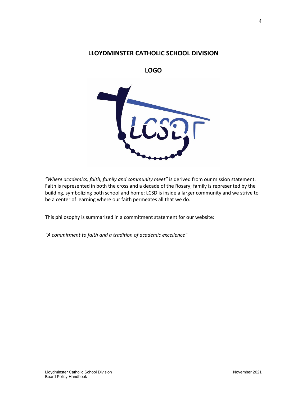# **LLOYDMINSTER CATHOLIC SCHOOL DIVISION**

**LOGO** 



*"Where academics, faith, family and community meet"* is derived from our mission statement. Faith is represented in both the cross and a decade of the Rosary; family is represented by the building, symbolizing both school and home; LCSD is inside a larger community and we strive to be a center of learning where our faith permeates all that we do.

This philosophy is summarized in a commitment statement for our website:

*"A commitment to faith and a tradition of academic excellence"*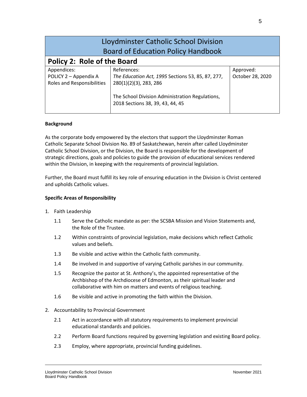| Lloydminster Catholic School Division<br><b>Board of Education Policy Handbook</b> |                                                                                            |                               |  |
|------------------------------------------------------------------------------------|--------------------------------------------------------------------------------------------|-------------------------------|--|
| <b>Policy 2: Role of the Board</b>                                                 |                                                                                            |                               |  |
| Appendices:<br>POLICY 2 - Appendix A<br>Roles and Responsibilities                 | References:<br>The Education Act, 1995 Sections 53, 85, 87, 277,<br>280(1)(2)(3), 283, 286 | Approved:<br>October 28, 2020 |  |
|                                                                                    | The School Division Administration Regulations,<br>2018 Sections 38, 39, 43, 44, 45        |                               |  |

#### **Background**

As the corporate body empowered by the electors that support the Lloydminster Roman Catholic Separate School Division No. 89 of Saskatchewan, herein after called Lloydminster Catholic School Division, or the Division, the Board is responsible for the development of strategic directions, goals and policies to guide the provision of educational services rendered within the Division, in keeping with the requirements of provincial legislation.

Further, the Board must fulfill its key role of ensuring education in the Division is Christ centered and upholds Catholic values.

#### **Specific Areas of Responsibility**

- 1. Faith Leadership
	- 1.1 Serve the Catholic mandate as per: the SCSBA Mission and Vision Statements and, the Role of the Trustee.
	- 1.2 Within constraints of provincial legislation, make decisions which reflect Catholic values and beliefs.
	- 1.3 Be visible and active within the Catholic faith community.
	- 1.4 Be involved in and supportive of varying Catholic parishes in our community.
	- 1.5 Recognize the pastor at St. Anthony's, the appointed representative of the Archbishop of the Archdiocese of Edmonton, as their spiritual leader and collaborative with him on matters and events of religious teaching.
	- 1.6 Be visible and active in promoting the faith within the Division.
- 2. Accountability to Provincial Government
	- 2.1 Act in accordance with all statutory requirements to implement provincial educational standards and policies.
	- 2.2 Perform Board functions required by governing legislation and existing Board policy.
	- 2.3 Employ, where appropriate, provincial funding guidelines.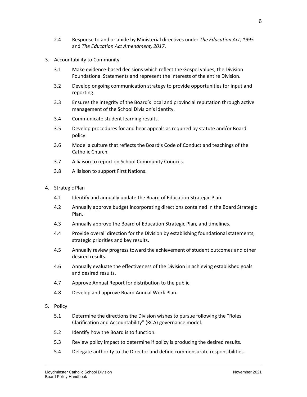- 2.4 Response to and or abide by Ministerial directives under *The Education Act, 1995* and *The Education Act Amendment, 2017*.
- 3. Accountability to Community
	- 3.1 Make evidence-based decisions which reflect the Gospel values, the Division Foundational Statements and represent the interests of the entire Division.
	- 3.2 Develop ongoing communication strategy to provide opportunities for input and reporting.
	- 3.3 Ensures the integrity of the Board's local and provincial reputation through active management of the School Division's identity.
	- 3.4 Communicate student learning results.
	- 3.5 Develop procedures for and hear appeals as required by statute and/or Board policy.
	- 3.6 Model a culture that reflects the Board's Code of Conduct and teachings of the Catholic Church.
	- 3.7 A liaison to report on School Community Councils.
	- 3.8 A liaison to support First Nations.
- 4. Strategic Plan
	- 4.1 Identify and annually update the Board of Education Strategic Plan.
	- 4.2 Annually approve budget incorporating directions contained in the Board Strategic Plan.
	- 4.3 Annually approve the Board of Education Strategic Plan, and timelines.
	- 4.4 Provide overall direction for the Division by establishing foundational statements, strategic priorities and key results.
	- 4.5 Annually review progress toward the achievement of student outcomes and other desired results.
	- 4.6 Annually evaluate the effectiveness of the Division in achieving established goals and desired results.
	- 4.7 Approve Annual Report for distribution to the public.
	- 4.8 Develop and approve Board Annual Work Plan.
- 5. Policy
	- 5.1 Determine the directions the Division wishes to pursue following the "Roles Clarification and Accountability" (RCA) governance model.
	- 5.2 Identify how the Board is to function.
	- 5.3 Review policy impact to determine if policy is producing the desired results.
	- 5.4 Delegate authority to the Director and define commensurate responsibilities.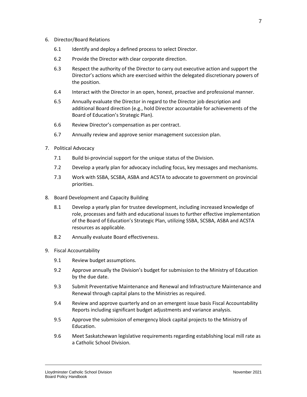- 6. Director/Board Relations
	- 6.1 Identify and deploy a defined process to select Director.
	- 6.2 Provide the Director with clear corporate direction.
	- 6.3 Respect the authority of the Director to carry out executive action and support the Director's actions which are exercised within the delegated discretionary powers of the position.
	- 6.4 Interact with the Director in an open, honest, proactive and professional manner.
	- 6.5 Annually evaluate the Director in regard to the Director job description and additional Board direction (e.g., hold Director accountable for achievements of the Board of Education's Strategic Plan).
	- 6.6 Review Director's compensation as per contract.
	- 6.7 Annually review and approve senior management succession plan.
- 7. Political Advocacy
	- 7.1 Build bi-provincial support for the unique status of the Division.
	- 7.2 Develop a yearly plan for advocacy including focus, key messages and mechanisms.
	- 7.3 Work with SSBA, SCSBA, ASBA and ACSTA to advocate to government on provincial priorities.
- 8. Board Development and Capacity Building
	- 8.1 Develop a yearly plan for trustee development, including increased knowledge of role, processes and faith and educational issues to further effective implementation of the Board of Education's Strategic Plan, utilizing SSBA, SCSBA, ASBA and ACSTA resources as applicable.
	- 8.2 Annually evaluate Board effectiveness.
- 9. Fiscal Accountability
	- 9.1 Review budget assumptions.
	- 9.2 Approve annually the Division's budget for submission to the Ministry of Education by the due date.
	- 9.3 Submit Preventative Maintenance and Renewal and Infrastructure Maintenance and Renewal through capital plans to the Ministries as required.
	- 9.4 Review and approve quarterly and on an emergent issue basis Fiscal Accountability Reports including significant budget adjustments and variance analysis.
	- 9.5 Approve the submission of emergency block capital projects to the Ministry of Education.
	- 9.6 Meet Saskatchewan legislative requirements regarding establishing local mill rate as a Catholic School Division.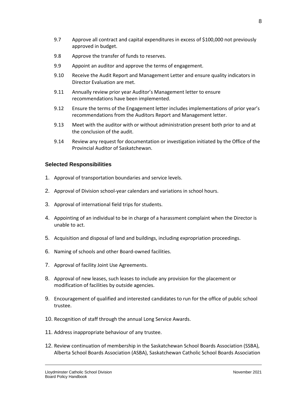- 9.7 Approve all contract and capital expenditures in excess of \$100,000 not previously approved in budget.
- 9.8 Approve the transfer of funds to reserves.
- 9.9 Appoint an auditor and approve the terms of engagement.
- 9.10 Receive the Audit Report and Management Letter and ensure quality indicators in Director Evaluation are met.
- 9.11 Annually review prior year Auditor's Management letter to ensure recommendations have been implemented.
- 9.12 Ensure the terms of the Engagement letter includes implementations of prior year's recommendations from the Auditors Report and Management letter.
- 9.13 Meet with the auditor with or without administration present both prior to and at the conclusion of the audit.
- 9.14 Review any request for documentation or investigation initiated by the Office of the Provincial Auditor of Saskatchewan.

## **Selected Responsibilities**

- 1. Approval of transportation boundaries and service levels.
- 2. Approval of Division school-year calendars and variations in school hours.
- 3. Approval of international field trips for students.
- 4. Appointing of an individual to be in charge of a harassment complaint when the Director is unable to act.
- 5. Acquisition and disposal of land and buildings, including expropriation proceedings.
- 6. Naming of schools and other Board-owned facilities.
- 7. Approval of facility Joint Use Agreements.
- 8. Approval of new leases, such leases to include any provision for the placement or modification of facilities by outside agencies.
- 9. Encouragement of qualified and interested candidates to run for the office of public school trustee.
- 10. Recognition of staff through the annual Long Service Awards.
- 11. Address inappropriate behaviour of any trustee.
- 12. Review continuation of membership in the Saskatchewan School Boards Association (SSBA), Alberta School Boards Association (ASBA), Saskatchewan Catholic School Boards Association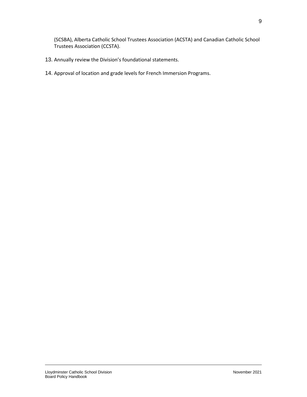(SCSBA), Alberta Catholic School Trustees Association (ACSTA) and Canadian Catholic School Trustees Association (CCSTA).

- 13. Annually review the Division's foundational statements.
- 14. Approval of location and grade levels for French Immersion Programs.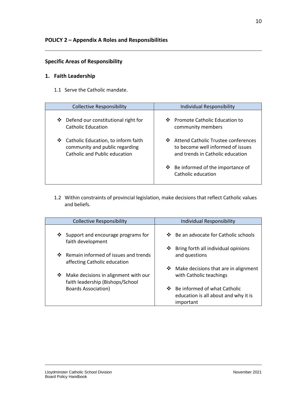# <span id="page-11-0"></span>**Specific Areas of Responsibility**

# **1. Faith Leadership**

1.1 Serve the Catholic mandate.

| <b>Collective Responsibility</b>      | <b>Individual Responsibility</b>                            |
|---------------------------------------|-------------------------------------------------------------|
| ❖ Defend our constitutional right for | ❖ Promote Catholic Education to                             |
| Catholic Education                    | community members                                           |
| Catholic Education, to inform faith   | Attend Catholic Trustee conferences                         |
| ❖                                     | ❖                                                           |
| community and public regarding        | to become well informed of issues                           |
| Catholic and Public education         | and trends in Catholic education                            |
|                                       | Be informed of the importance of<br>❖<br>Catholic education |

1.2 Within constraints of provincial legislation, make decisions that reflect Catholic values and beliefs.

| <b>Collective Responsibility</b>                                              | <b>Individual Responsibility</b>                                                    |
|-------------------------------------------------------------------------------|-------------------------------------------------------------------------------------|
| $\cdot$ Support and encourage programs for<br>faith development               | ❖ Be an advocate for Catholic schools                                               |
| ❖ Remain informed of issues and trends<br>affecting Catholic education        | Bring forth all individual opinions<br>❖<br>and questions                           |
| Make decisions in alignment with our<br>❖<br>faith leadership (Bishops/School | ❖ Make decisions that are in alignment<br>with Catholic teachings                   |
| <b>Boards Association</b> )                                                   | ❖ Be informed of what Catholic<br>education is all about and why it is<br>important |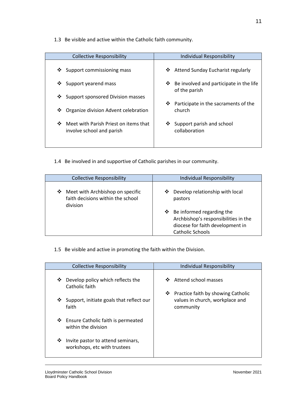1.3 Be visible and active within the Catholic faith community.

| <b>Collective Responsibility</b>                                     | Individual Responsibility                                  |
|----------------------------------------------------------------------|------------------------------------------------------------|
| Support commissioning mass<br>豪心                                     | Attend Sunday Eucharist regularly<br>❖                     |
| ❖ Support yearend mass                                               | ❖ Be involved and participate in the life<br>of the parish |
| ❖ Support sponsored Division masses                                  |                                                            |
| ❖ Organize division Advent celebration                               | ❖<br>Participate in the sacraments of the<br>church        |
| ❖ Meet with Parish Priest on items that<br>involve school and parish | Support parish and school<br>❖<br>collaboration            |

1.4 Be involved in and supportive of Catholic parishes in our community.

| <b>Collective Responsibility</b>                                                       | <b>Individual Responsibility</b>                                                                                                  |
|----------------------------------------------------------------------------------------|-----------------------------------------------------------------------------------------------------------------------------------|
| Meet with Archbishop on specific<br>❖<br>faith decisions within the school<br>division | Develop relationship with local<br>$\cdot$<br>pastors<br>$\div$ Be informed regarding the<br>Archbishop's responsibilities in the |
|                                                                                        | diocese for faith development in                                                                                                  |
|                                                                                        | <b>Catholic Schools</b>                                                                                                           |

1.5 Be visible and active in promoting the faith within the Division.

| <b>Collective Responsibility</b>                                       | Individual Responsibility                                                               |
|------------------------------------------------------------------------|-----------------------------------------------------------------------------------------|
| Develop policy which reflects the<br>❖<br>Catholic faith               | Attend school masses<br>❖                                                               |
| ❖ Support, initiate goals that reflect our<br>faith                    | Practice faith by showing Catholic<br>❖<br>values in church, workplace and<br>community |
| ❖ Ensure Catholic faith is permeated<br>within the division            |                                                                                         |
| Invite pastor to attend seminars,<br>❖<br>workshops, etc with trustees |                                                                                         |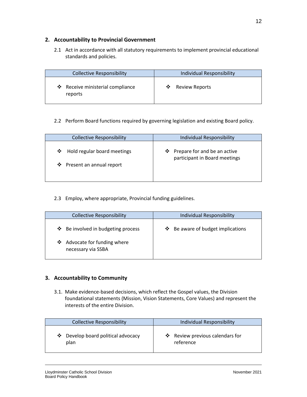## **2. Accountability to Provincial Government**

2.1 Act in accordance with all statutory requirements to implement provincial educational standards and policies.

| <b>Collective Responsibility</b> | <b>Individual Responsibility</b> |
|----------------------------------|----------------------------------|
| ❖ Receive ministerial compliance | <b>Review Reports</b>            |
| reports                          | ❖                                |

## 2.2 Perform Board functions required by governing legislation and existing Board policy.

| <b>Collective Responsibility</b>                               | <b>Individual Responsibility</b>                                     |
|----------------------------------------------------------------|----------------------------------------------------------------------|
| Hold regular board meetings<br>❖<br>❖ Present an annual report | $\div$ Prepare for and be an active<br>participant in Board meetings |

2.3 Employ, where appropriate, Provincial funding guidelines.

| <b>Collective Responsibility</b>                                                            | Individual Responsibility                |
|---------------------------------------------------------------------------------------------|------------------------------------------|
| ❖ Be involved in budgeting process<br>Advocate for funding where<br>❖<br>necessary via SSBA | <b>↓</b> Be aware of budget implications |
|                                                                                             |                                          |

# **3. Accountability to Community**

3.1. Make evidence-based decisions, which reflect the Gospel values, the Division foundational statements (Mission, Vision Statements, Core Values) and represent the interests of the entire Division.

| <b>Collective Responsibility</b>              | <b>Individual Responsibility</b>             |
|-----------------------------------------------|----------------------------------------------|
| Develop board political advocacy<br>❖<br>plan | ❖ Review previous calendars for<br>reference |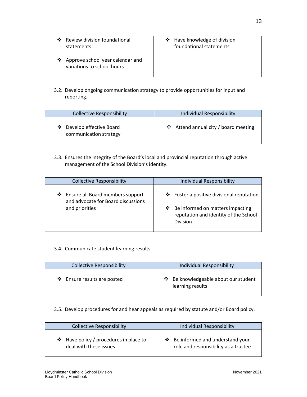| ❖ Review division foundational<br>statements                     | ❖ Have knowledge of division<br>foundational statements |
|------------------------------------------------------------------|---------------------------------------------------------|
| ❖ Approve school year calendar and<br>variations to school hours |                                                         |

3.2. Develop ongoing communication strategy to provide opportunities for input and reporting.

| <b>Collective Responsibility</b>                    | <b>Individual Responsibility</b>     |
|-----------------------------------------------------|--------------------------------------|
| ❖ Develop effective Board<br>communication strategy | ❖ Attend annual city / board meeting |

3.3. Ensures the integrity of the Board's local and provincial reputation through active management of the School Division's identity.

| <b>Collective Responsibility</b>                                                           | <b>Individual Responsibility</b>                                                                                                            |
|--------------------------------------------------------------------------------------------|---------------------------------------------------------------------------------------------------------------------------------------------|
| ❖ Ensure all Board members support<br>and advocate for Board discussions<br>and priorities | ❖ Foster a positive divisional reputation<br>❖ Be informed on matters impacting<br>reputation and identity of the School<br><b>Division</b> |

#### 3.4. Communicate student learning results.

| <b>Collective Responsibility</b> | <b>Individual Responsibility</b>                         |
|----------------------------------|----------------------------------------------------------|
| ❖ Ensure results are posted      | ❖ Be knowledgeable about our student<br>learning results |

## 3.5. Develop procedures for and hear appeals as required by statute and/or Board policy.

| <b>Collective Responsibility</b>                                      | <b>Individual Responsibility</b>                                               |
|-----------------------------------------------------------------------|--------------------------------------------------------------------------------|
| $\div$ Have policy / procedures in place to<br>deal with these issues | $\div$ Be informed and understand your<br>role and responsibility as a trustee |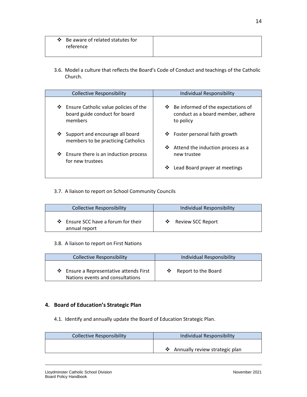| ❖ Be aware of related statutes for |  |
|------------------------------------|--|
| reference                          |  |
|                                    |  |

3.6. Model a culture that reflects the Board's Code of Conduct and teachings of the Catholic Church.

| <b>Collective Responsibility</b>                                                    | Individual Responsibility                                                              |
|-------------------------------------------------------------------------------------|----------------------------------------------------------------------------------------|
| ❖ Ensure Catholic value policies of the<br>board guide conduct for board<br>members | ❖ Be informed of the expectations of<br>conduct as a board member, adhere<br>to policy |
| ❖ Support and encourage all board<br>members to be practicing Catholics             | ❖ Foster personal faith growth<br>Attend the induction process as a<br>❖               |
| $\cdot$ Ensure there is an induction process<br>for new trustees                    | new trustee                                                                            |
|                                                                                     | Lead Board prayer at meetings<br>❖                                                     |

#### 3.7. A liaison to report on School Community Councils

| <b>Collective Responsibility</b>    | <b>Individual Responsibility</b> |
|-------------------------------------|----------------------------------|
| ❖ Ensure SCC have a forum for their | Review SCC Report                |
| annual report                       | ∙ু∗                              |

#### 3.8. A liaison to report on First Nations

| <b>Collective Responsibility</b>                                                  | <b>Individual Responsibility</b> |
|-----------------------------------------------------------------------------------|----------------------------------|
| $\cdot$ Ensure a Representative attends First<br>Nations events and consultations | ❖ Report to the Board            |

# **4. Board of Education's Strategic Plan**

4.1. Identify and annually update the Board of Education Strategic Plan.

| <b>Collective Responsibility</b> | Individual Responsibility        |
|----------------------------------|----------------------------------|
|                                  | ❖ Annually review strategic plan |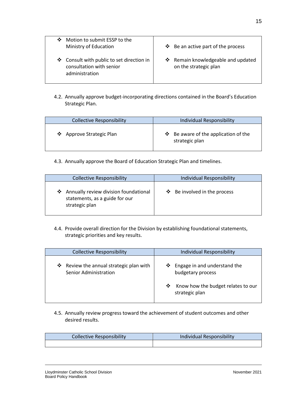| Motion to submit ESSP to the<br>❖<br>Ministry of Education                              | <b><math>\div</math></b> Be an active part of the process   |
|-----------------------------------------------------------------------------------------|-------------------------------------------------------------|
| ❖ Consult with public to set direction in<br>consultation with senior<br>administration | ❖ Remain knowledgeable and updated<br>on the strategic plan |

4.2. Annually approve budget-incorporating directions contained in the Board's Education Strategic Plan.

| <b>Collective Responsibility</b> | <b>Individual Responsibility</b>                       |
|----------------------------------|--------------------------------------------------------|
| ❖ Approve Strategic Plan         | ❖ Be aware of the application of the<br>strategic plan |

4.3. Annually approve the Board of Education Strategic Plan and timelines.

| <b>Collective Responsibility</b>                                                            | <b>Individual Responsibility</b> |
|---------------------------------------------------------------------------------------------|----------------------------------|
| ❖ Annually review division foundational<br>statements, as a guide for our<br>strategic plan | ❖ Be involved in the process     |

4.4. Provide overall direction for the Division by establishing foundational statements, strategic priorities and key results.

| <b>Collective Responsibility</b>                                        | Individual Responsibility                                                                                        |
|-------------------------------------------------------------------------|------------------------------------------------------------------------------------------------------------------|
| ❖ Review the annual strategic plan with<br><b>Senior Administration</b> | ❖ Engage in and understand the<br>budgetary process<br>Know how the budget relates to our<br>❖<br>strategic plan |

4.5. Annually review progress toward the achievement of student outcomes and other desired results.

| <b>Collective Responsibility</b> | Individual Responsibility |
|----------------------------------|---------------------------|
|                                  |                           |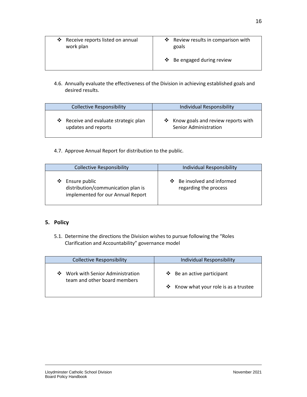| ❖ Receive reports listed on annual<br>work plan | ❖ Review results in comparison with<br>goals |
|-------------------------------------------------|----------------------------------------------|
|                                                 | ❖ Be engaged during review                   |

4.6. Annually evaluate the effectiveness of the Division in achieving established goals and desired results.

| <b>Collective Responsibility</b>      | <b>Individual Responsibility</b>     |
|---------------------------------------|--------------------------------------|
| ❖ Receive and evaluate strategic plan | ❖ Know goals and review reports with |
| updates and reports                   | Senior Administration                |

#### 4.7. Approve Annual Report for distribution to the public.

| <b>Collective Responsibility</b>                                                              | <b>Individual Responsibility</b>                    |
|-----------------------------------------------------------------------------------------------|-----------------------------------------------------|
| Ensure public<br>❖<br>distribution/communication plan is<br>implemented for our Annual Report | ❖ Be involved and informed<br>regarding the process |

## **5. Policy**

5.1. Determine the directions the Division wishes to pursue following the "Roles Clarification and Accountability" governance model

| <b>Collective Responsibility</b>                                     | <b>Individual Responsibility</b>                                    |
|----------------------------------------------------------------------|---------------------------------------------------------------------|
| Work with Senior Administration<br>❖<br>team and other board members | ❖ Be an active participant<br>❖ Know what your role is as a trustee |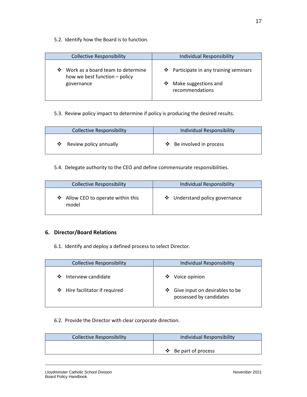5.2. Identify how the Board is to function.

| <b>Collective Responsibility</b>                                                      | <b>Individual Responsibility</b>                                                    |
|---------------------------------------------------------------------------------------|-------------------------------------------------------------------------------------|
| Work as a board team to determine<br>❖<br>how we best function – policy<br>governance | ❖ Participate in any training seminars<br>❖ Make suggestions and<br>recommendations |

# 5.3. Review policy impact to determine if policy is producing the desired results.

| <b>Collective Responsibility</b>           | <b>Individual Responsibility</b> |
|--------------------------------------------|----------------------------------|
| Review policy annually<br>$\ddot{\bullet}$ | ❖ Be involved in process         |

#### 5.4. Delegate authority to the CEO and define commensurate responsibilities.

| <b>Collective Responsibility</b>            | Individual Responsibility      |
|---------------------------------------------|--------------------------------|
| ❖ Allow CEO to operate within this<br>model | ❖ Understand policy governance |

## **6. Director/Board Relations**

6.1. Identify and deploy a defined process to select Director.

| <b>Collective Responsibility</b> | <b>Individual Responsibility</b>                               |
|----------------------------------|----------------------------------------------------------------|
| ❖ Interview candidate            | Voice opinion<br>❖                                             |
| ❖ Hire facilitator if required   | Give input on desirables to be<br>❖<br>possessed by candidates |

## 6.2. Provide the Director with clear corporate direction.

| <b>Collective Responsibility</b> | Individual Responsibility             |
|----------------------------------|---------------------------------------|
|                                  |                                       |
|                                  | $\mathbf{\hat{P}}$ Be part of process |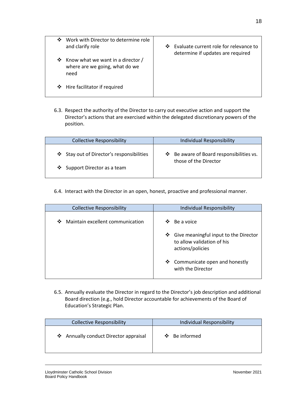| ❖ | Work with Director to determine role<br>and clarify role                      | <b>AND 1999</b> | Evaluate current role for relevance to<br>determine if updates are required |
|---|-------------------------------------------------------------------------------|-----------------|-----------------------------------------------------------------------------|
|   | ❖ Know what we want in a director /<br>where are we going, what do we<br>need |                 |                                                                             |
|   | ❖ Hire facilitator if required                                                |                 |                                                                             |

6.3. Respect the authority of the Director to carry out executive action and support the Director's actions that are exercised within the delegated discretionary powers of the position.

| <b>Collective Responsibility</b>        | Individual Responsibility                |
|-----------------------------------------|------------------------------------------|
| Stay out of Director's responsibilities | ❖ Be aware of Board responsibilities vs. |
| ❖ Support Director as a team            | those of the Director                    |

6.4. Interact with the Director in an open, honest, proactive and professional manner.

| <b>Collective Responsibility</b>      | <b>Individual Responsibility</b>                                                             |
|---------------------------------------|----------------------------------------------------------------------------------------------|
| Maintain excellent communication<br>❖ | Be a voice<br>❖                                                                              |
|                                       | Give meaningful input to the Director<br>❖<br>to allow validation of his<br>actions/policies |
|                                       | ❖ Communicate open and honestly<br>with the Director                                         |

6.5. Annually evaluate the Director in regard to the Director's job description and additional Board direction (e.g., hold Director accountable for achievements of the Board of Education's Strategic Plan.

| <b>Collective Responsibility</b>      | Individual Responsibility |
|---------------------------------------|---------------------------|
| ❖ Annually conduct Director appraisal | ❖ Be informed             |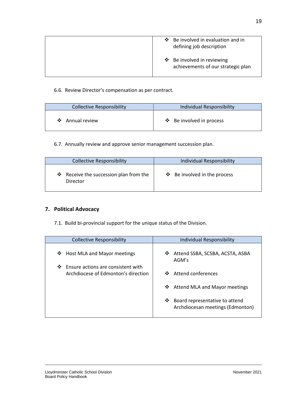| Be involved in evaluation and in<br>A.<br>defining job description |
|--------------------------------------------------------------------|
| ❖ Be involved in reviewing<br>achievements of our strategic plan   |

#### 6.6. Review Director's compensation as per contract.

| <b>Collective Responsibility</b> | <b>Individual Responsibility</b> |
|----------------------------------|----------------------------------|
| ❖ Annual review                  | ❖ Be involved in process         |

6.7. Annually review and approve senior management succession plan.

| <b>Collective Responsibility</b>                   | Individual Responsibility         |
|----------------------------------------------------|-----------------------------------|
| ❖ Receive the succession plan from the<br>Director | $\div$ Be involved in the process |

# **7. Political Advocacy**

7.1. Build bi-provincial support for the unique status of the Division.

| <b>Collective Responsibility</b>                                               | Individual Responsibility                                               |
|--------------------------------------------------------------------------------|-------------------------------------------------------------------------|
| Host MLA and Mayor meetings<br>❖                                               | Attend SSBA, SCSBA, ACSTA, ASBA<br>❖<br>AGM's                           |
| ❖<br>Ensure actions are consistent with<br>Archdiocese of Edmonton's direction | Attend conferences<br>∙÷                                                |
|                                                                                | Attend MLA and Mayor meetings<br>❖                                      |
|                                                                                | Board representative to attend<br>❖<br>Archdiocesan meetings (Edmonton) |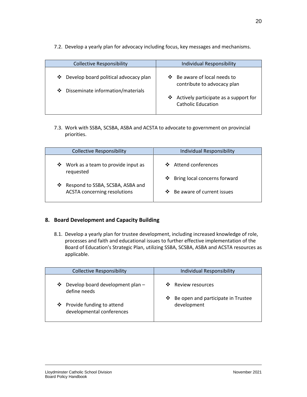7.2. Develop a yearly plan for advocacy including focus, key messages and mechanisms.

| <b>Collective Responsibility</b>                                                  | <b>Individual Responsibility</b>                                                                                                       |
|-----------------------------------------------------------------------------------|----------------------------------------------------------------------------------------------------------------------------------------|
| ❖ Develop board political advocacy plan<br>Disseminate information/materials<br>❖ | ❖ Be aware of local needs to<br>contribute to advocacy plan<br>Actively participate as a support for<br>❖<br><b>Catholic Education</b> |

7.3. Work with SSBA, SCSBA, ASBA and ACSTA to advocate to government on provincial priorities.

| <b>Collective Responsibility</b>                                             | <b>Individual Responsibility</b> |
|------------------------------------------------------------------------------|----------------------------------|
| ❖ Work as a team to provide input as<br>requested                            | ❖ Attend conferences             |
|                                                                              | ❖ Bring local concerns forward   |
| Respond to SSBA, SCSBA, ASBA and<br>❖<br><b>ACSTA concerning resolutions</b> | ❖ Be aware of current issues     |

# **8. Board Development and Capacity Building**

8.1. Develop a yearly plan for trustee development, including increased knowledge of role, processes and faith and educational issues to further effective implementation of the Board of Education's Strategic Plan, utilizing SSBA, SCSBA, ASBA and ACSTA resources as applicable.

| <b>Collective Responsibility</b>                         | Individual Responsibility                              |
|----------------------------------------------------------|--------------------------------------------------------|
| Develop board development plan -<br>❖<br>define needs    | Review resources                                       |
| ❖ Provide funding to attend<br>developmental conferences | Be open and participate in Trustee<br>❖<br>development |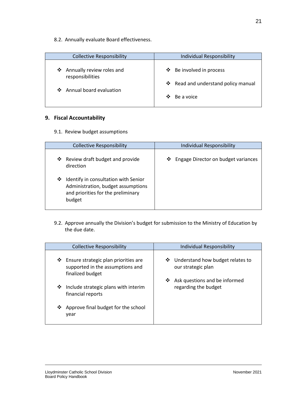8.2. Annually evaluate Board effectiveness.

| <b>Collective Responsibility</b>                | <b>Individual Responsibility</b>    |
|-------------------------------------------------|-------------------------------------|
| ❖ Annually review roles and<br>responsibilities | ❖ Be involved in process            |
|                                                 | ❖ Read and understand policy manual |
| ❖ Annual board evaluation                       | ∙÷<br>Be a voice                    |

## **9. Fiscal Accountability**

9.1. Review budget assumptions

| <b>Collective Responsibility</b>                                                                                                | <b>Individual Responsibility</b>      |
|---------------------------------------------------------------------------------------------------------------------------------|---------------------------------------|
| Review draft budget and provide<br>❖<br>direction                                                                               | ❖ Engage Director on budget variances |
| Identify in consultation with Senior<br>❖<br>Administration, budget assumptions<br>and priorities for the preliminary<br>budget |                                       |

9.2. Approve annually the Division's budget for submission to the Ministry of Education by the due date.

| <b>Collective Responsibility</b>                                                                  | Individual Responsibility                                   |
|---------------------------------------------------------------------------------------------------|-------------------------------------------------------------|
| Ensure strategic plan priorities are<br>❖<br>supported in the assumptions and<br>finalized budget | Understand how budget relates to<br>❖<br>our strategic plan |
| Include strategic plans with interim<br>❖<br>financial reports                                    | Ask questions and be informed<br>❖<br>regarding the budget  |
| Approve final budget for the school<br>❖<br>year                                                  |                                                             |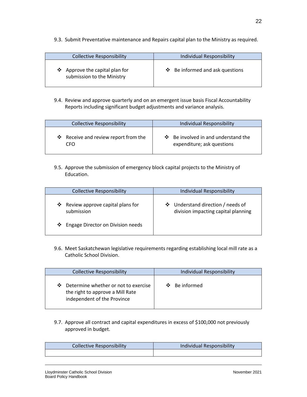9.3. Submit Preventative maintenance and Repairs capital plan to the Ministry as required.

| <b>Collective Responsibility</b>                             | <b>Individual Responsibility</b>     |
|--------------------------------------------------------------|--------------------------------------|
| ❖ Approve the capital plan for<br>submission to the Ministry | $\div$ Be informed and ask questions |

9.4. Review and approve quarterly and on an emergent issue basis Fiscal Accountability Reports including significant budget adjustments and variance analysis.

| <b>Collective Responsibility</b>     | <b>Individual Responsibility</b>         |
|--------------------------------------|------------------------------------------|
| ❖ Receive and review report from the | $\div$ Be involved in and understand the |
| CFO                                  | expenditure; ask questions               |

9.5. Approve the submission of emergency block capital projects to the Ministry of Education.

| <b>Collective Responsibility</b>                    | Individual Responsibility                                                |
|-----------------------------------------------------|--------------------------------------------------------------------------|
| Review approve capital plans for<br>❖<br>submission | ❖ Understand direction / needs of<br>division impacting capital planning |
| ❖ Engage Director on Division needs                 |                                                                          |

9.6. Meet Saskatchewan legislative requirements regarding establishing local mill rate as a Catholic School Division.

| <b>Collective Responsibility</b>                                                                             | <b>Individual Responsibility</b> |
|--------------------------------------------------------------------------------------------------------------|----------------------------------|
| Determine whether or not to exercise<br>❖<br>the right to approve a Mill Rate<br>independent of the Province | Be informed<br>❖                 |

9.7. Approve all contract and capital expenditures in excess of \$100,000 not previously approved in budget.

| <b>Collective Responsibility</b> | <b>Individual Responsibility</b> |
|----------------------------------|----------------------------------|
|                                  |                                  |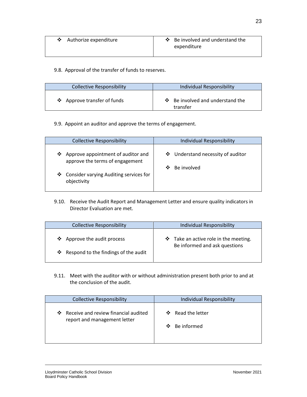| Authorize expenditure | Be involved and understand the<br>expenditure |
|-----------------------|-----------------------------------------------|
|                       |                                               |

# 9.8. Approval of the transfer of funds to reserves.

| <b>Collective Responsibility</b> | Individual Responsibility                          |
|----------------------------------|----------------------------------------------------|
| ❖ Approve transfer of funds      | $\cdot$ Be involved and understand the<br>transfer |

## 9.9. Appoint an auditor and approve the terms of engagement.

| <b>Collective Responsibility</b>                                           | <b>Individual Responsibility</b>                      |
|----------------------------------------------------------------------------|-------------------------------------------------------|
| Approve appointment of auditor and<br>❖<br>approve the terms of engagement | ❖ Understand necessity of auditor<br>Be involved<br>❖ |
| Consider varying Auditing services for<br>❖<br>objectivity                 |                                                       |

9.10. Receive the Audit Report and Management Letter and ensure quality indicators in Director Evaluation are met.

| <b>Collective Responsibility</b>       | <b>Individual Responsibility</b>      |
|----------------------------------------|---------------------------------------|
| ❖ Approve the audit process            | ❖ Take an active role in the meeting. |
| ❖ Respond to the findings of the audit | Be informed and ask questions         |

9.11. Meet with the auditor with or without administration present both prior to and at the conclusion of the audit.

| <b>Collective Responsibility</b>                                          | <b>Individual Responsibility</b>         |  |
|---------------------------------------------------------------------------|------------------------------------------|--|
| Receive and review financial audited<br>❖<br>report and management letter | Read the letter<br>❖<br>Be informed<br>❖ |  |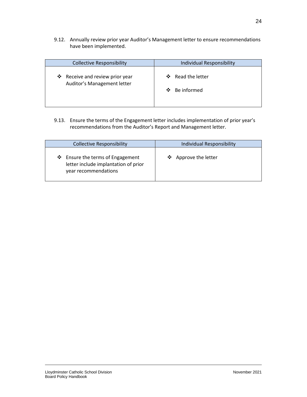9.12. Annually review prior year Auditor's Management letter to ensure recommendations have been implemented.

| <b>Collective Responsibility</b>                               | <b>Individual Responsibility</b>                    |  |
|----------------------------------------------------------------|-----------------------------------------------------|--|
| ❖ Receive and review prior year<br>Auditor's Management letter | Read the letter<br>$\mathbf{A}$<br>Be informed<br>❖ |  |

9.13. Ensure the terms of the Engagement letter includes implementation of prior year's recommendations from the Auditor's Report and Management letter.

| <b>Collective Responsibility</b>                                                                 | <b>Individual Responsibility</b> |  |
|--------------------------------------------------------------------------------------------------|----------------------------------|--|
| ❖ Ensure the terms of Engagement<br>letter include implantation of prior<br>year recommendations | ❖ Approve the letter             |  |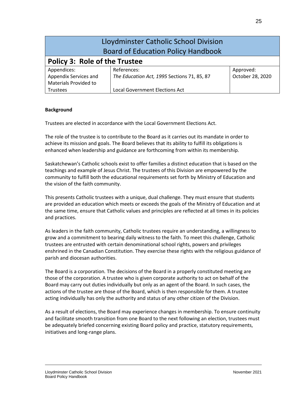| Lloydminster Catholic School Division<br><b>Board of Education Policy Handbook</b> |                                             |                  |  |  |
|------------------------------------------------------------------------------------|---------------------------------------------|------------------|--|--|
| <b>Policy 3: Role of the Trustee</b>                                               |                                             |                  |  |  |
| Appendices:                                                                        | References:                                 | Approved:        |  |  |
| Appendix Services and                                                              | The Education Act, 1995 Sections 71, 85, 87 | October 28, 2020 |  |  |
| Materials Provided to                                                              |                                             |                  |  |  |
| <b>Trustees</b>                                                                    | <b>Local Government Elections Act</b>       |                  |  |  |

#### **Background**

Trustees are elected in accordance with the Local Government Elections Act.

The role of the trustee is to contribute to the Board as it carries out its mandate in order to achieve its mission and goals. The Board believes that its ability to fulfill its obligations is enhanced when leadership and guidance are forthcoming from within its membership.

Saskatchewan's Catholic schools exist to offer families a distinct education that is based on the teachings and example of Jesus Christ. The trustees of this Division are empowered by the community to fulfill both the educational requirements set forth by Ministry of Education and the vision of the faith community.

This presents Catholic trustees with a unique, dual challenge. They must ensure that students are provided an education which meets or exceeds the goals of the Ministry of Education and at the same time, ensure that Catholic values and principles are reflected at all times in its policies and practices.

As leaders in the faith community, Catholic trustees require an understanding, a willingness to grow and a commitment to bearing daily witness to the faith. To meet this challenge, Catholic trustees are entrusted with certain denominational school rights, powers and privileges enshrined in the Canadian Constitution. They exercise these rights with the religious guidance of parish and diocesan authorities.

The Board is a corporation*.* The decisions of the Board in a properly constituted meeting are those of the corporation. A trustee who is given corporate authority to act on behalf of the Board may carry out duties individually but only as an agent of the Board. In such cases, the actions of the trustee are those of the Board, which is then responsible for them. A trustee acting individually has only the authority and status of any other citizen of the Division.

As a result of elections, the Board may experience changes in membership. To ensure continuity and facilitate smooth transition from one Board to the next following an election, trustees must be adequately briefed concerning existing Board policy and practice, statutory requirements, initiatives and long-range plans.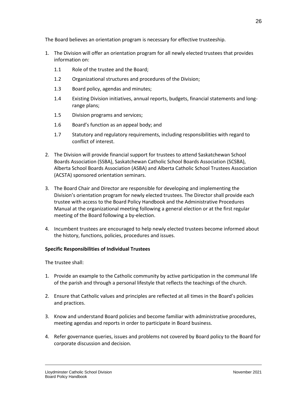The Board believes an orientation program is necessary for effective trusteeship.

- 1. The Division will offer an orientation program for all newly elected trustees that provides information on:
	- 1.1 Role of the trustee and the Board;
	- 1.2 Organizational structures and procedures of the Division;
	- 1.3 Board policy, agendas and minutes;
	- 1.4 Existing Division initiatives, annual reports, budgets, financial statements and longrange plans;
	- 1.5 Division programs and services;
	- 1.6 Board's function as an appeal body; and
	- 1.7 Statutory and regulatory requirements, including responsibilities with regard to conflict of interest.
- 2. The Division will provide financial support for trustees to attend Saskatchewan School Boards Association (SSBA), Saskatchewan Catholic School Boards Association (SCSBA), Alberta School Boards Association (ASBA) and Alberta Catholic School Trustees Association (ACSTA) sponsored orientation seminars.
- 3. The Board Chair and Director are responsible for developing and implementing the Division's orientation program for newly elected trustees. The Director shall provide each trustee with access to the Board Policy Handbook and the Administrative Procedures Manual at the organizational meeting following a general election or at the first regular meeting of the Board following a by-election.
- 4. Incumbent trustees are encouraged to help newly elected trustees become informed about the history, functions, policies, procedures and issues.

# **Specific Responsibilities of Individual Trustees**

The trustee shall:

- 1. Provide an example to the Catholic community by active participation in the communal life of the parish and through a personal lifestyle that reflects the teachings of the church.
- 2. Ensure that Catholic values and principles are reflected at all times in the Board's policies and practices.
- 3. Know and understand Board policies and become familiar with administrative procedures, meeting agendas and reports in order to participate in Board business.
- 4. Refer governance queries, issues and problems not covered by Board policy to the Board for corporate discussion and decision.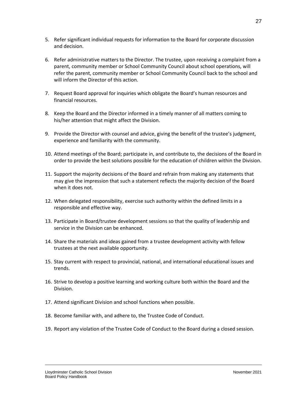- 5. Refer significant individual requests for information to the Board for corporate discussion and decision.
- 6. Refer administrative matters to the Director. The trustee, upon receiving a complaint from a parent, community member or School Community Council about school operations, will refer the parent, community member or School Community Council back to the school and will inform the Director of this action.
- 7. Request Board approval for inquiries which obligate the Board's human resources and financial resources.
- 8. Keep the Board and the Director informed in a timely manner of all matters coming to his/her attention that might affect the Division.
- 9. Provide the Director with counsel and advice, giving the benefit of the trustee's judgment, experience and familiarity with the community.
- 10. Attend meetings of the Board; participate in, and contribute to, the decisions of the Board in order to provide the best solutions possible for the education of children within the Division.
- 11. Support the majority decisions of the Board and refrain from making any statements that may give the impression that such a statement reflects the majority decision of the Board when it does not.
- 12. When delegated responsibility, exercise such authority within the defined limits in a responsible and effective way.
- 13. Participate in Board/trustee development sessions so that the quality of leadership and service in the Division can be enhanced.
- 14. Share the materials and ideas gained from a trustee development activity with fellow trustees at the next available opportunity.
- 15. Stay current with respect to provincial, national, and international educational issues and trends.
- 16. Strive to develop a positive learning and working culture both within the Board and the Division.
- 17. Attend significant Division and school functions when possible.
- 18. Become familiar with, and adhere to, the Trustee Code of Conduct.
- 19. Report any violation of the Trustee Code of Conduct to the Board during a closed session.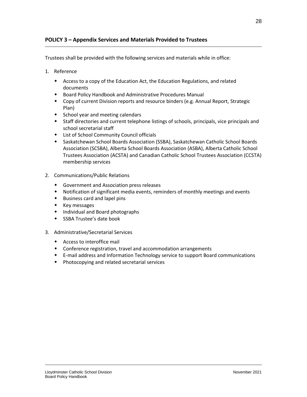## **POLICY 3 – Appendix Services and Materials Provided to Trustees**

<span id="page-29-0"></span>Trustees shall be provided with the following services and materials while in office:

- 1. Reference
	- Access to a copy of the Education Act, the Education Regulations, and related documents
	- Board Policy Handbook and Administrative Procedures Manual
	- Copy of current Division reports and resource binders (e.g. Annual Report, Strategic Plan)
	- School year and meeting calendars
	- Staff directories and current telephone listings of schools, principals, vice principals and school secretarial staff
	- List of School Community Council officials
	- Saskatchewan School Boards Association (SSBA), Saskatchewan Catholic School Boards Association (SCSBA), Alberta School Boards Association (ASBA), Alberta Catholic School Trustees Association (ACSTA) and Canadian Catholic School Trustees Association (CCSTA) membership services
- 2. Communications/Public Relations
	- Government and Association press releases
	- Notification of significant media events, reminders of monthly meetings and events
	- Business card and lapel pins
	- $\bullet$  Key messages
	- Individual and Board photographs
	- SSBA Trustee's date book
- 3. Administrative/Secretarial Services
	- Access to interoffice mail
	- Conference registration, travel and accommodation arrangements
	- E-mail address and Information Technology service to support Board communications
	- Photocopying and related secretarial services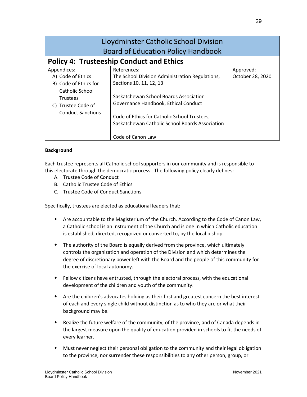| Lloydminster Catholic School Division<br><b>Board of Education Policy Handbook</b>                                                                    |                                                                                                                                                                             |                               |  |  |
|-------------------------------------------------------------------------------------------------------------------------------------------------------|-----------------------------------------------------------------------------------------------------------------------------------------------------------------------------|-------------------------------|--|--|
| <b>Policy 4: Trusteeship Conduct and Ethics</b>                                                                                                       |                                                                                                                                                                             |                               |  |  |
| Appendices:<br>A) Code of Ethics<br>B) Code of Ethics for<br><b>Catholic School</b><br><b>Trustees</b><br>Trustee Code of<br><b>Conduct Sanctions</b> | References:<br>The School Division Administration Regulations,<br>Sections 10, 11, 12, 13<br>Saskatchewan School Boards Association<br>Governance Handbook, Ethical Conduct | Approved:<br>October 28, 2020 |  |  |
|                                                                                                                                                       | Code of Ethics for Catholic School Trustees,<br>Saskatchewan Catholic School Boards Association<br>Code of Canon Law                                                        |                               |  |  |

## **Background**

Each trustee represents all Catholic school supporters in our community and is responsible to this electorate through the democratic process. The following policy clearly defines:

- A. Trustee Code of Conduct
- B. Catholic Trustee Code of Ethics
- C. Trustee Code of Conduct Sanctions

Specifically, trustees are elected as educational leaders that:

- Are accountable to the Magisterium of the Church. According to the Code of Canon Law, a Catholic school is an instrument of the Church and is one in which Catholic education is established, directed, recognized or converted to, by the local bishop.
- The authority of the Board is equally derived from the province, which ultimately controls the organization and operation of the Division and which determines the degree of discretionary power left with the Board and the people of this community for the exercise of local autonomy.
- Fellow citizens have entrusted, through the electoral process, with the educational development of the children and youth of the community.
- Are the children's advocates holding as their first and greatest concern the best interest of each and every single child without distinction as to who they are or what their background may be.
- Realize the future welfare of the community, of the province, and of Canada depends in the largest measure upon the quality of education provided in schools to fit the needs of every learner.
- Must never neglect their personal obligation to the community and their legal obligation to the province, nor surrender these responsibilities to any other person, group, or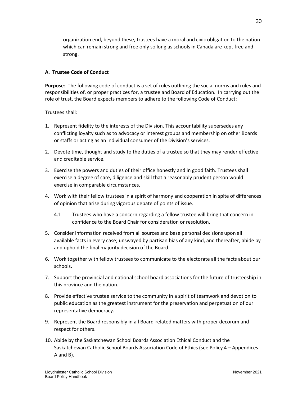organization end, beyond these, trustees have a moral and civic obligation to the nation which can remain strong and free only so long as schools in Canada are kept free and strong.

#### **A. Trustee Code of Conduct**

**Purpose**: The following code of conduct is a set of rules outlining the social norms and rules and responsibilities of, or proper practices for, a trustee and Board of Education. In carrying out the role of trust, the Board expects members to adhere to the following Code of Conduct:

#### Trustees shall:

- 1. Represent fidelity to the interests of the Division. This accountability supersedes any conflicting loyalty such as to advocacy or interest groups and membership on other Boards or staffs or acting as an individual consumer of the Division's services.
- 2. Devote time, thought and study to the duties of a trustee so that they may render effective and creditable service.
- 3. Exercise the powers and duties of their office honestly and in good faith. Trustees shall exercise a degree of care, diligence and skill that a reasonably prudent person would exercise in comparable circumstances.
- 4. Work with their fellow trustees in a spirit of harmony and cooperation in spite of differences of opinion that arise during vigorous debate of points of issue.
	- 4.1 Trustees who have a concern regarding a fellow trustee will bring that concern in confidence to the Board Chair for consideration or resolution.
- 5. Consider information received from all sources and base personal decisions upon all available facts in every case; unswayed by partisan bias of any kind, and thereafter, abide by and uphold the final majority decision of the Board.
- 6. Work together with fellow trustees to communicate to the electorate all the facts about our schools.
- 7. Support the provincial and national school board associations for the future of trusteeship in this province and the nation.
- 8. Provide effective trustee service to the community in a spirit of teamwork and devotion to public education as the greatest instrument for the preservation and perpetuation of our representative democracy.
- 9. Represent the Board responsibly in all Board-related matters with proper decorum and respect for others.
- 10. Abide by the Saskatchewan School Boards Association Ethical Conduct and the Saskatchewan Catholic School Boards Association Code of Ethics (see Policy 4 – Appendices A and B).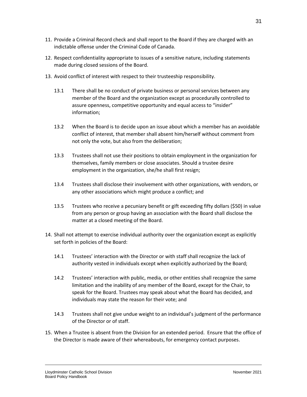- 11. Provide a Criminal Record check and shall report to the Board if they are charged with an indictable offense under the Criminal Code of Canada.
- 12. Respect confidentiality appropriate to issues of a sensitive nature, including statements made during closed sessions of the Board.
- 13. Avoid conflict of interest with respect to their trusteeship responsibility.
	- 13.1 There shall be no conduct of private business or personal services between any member of the Board and the organization except as procedurally controlled to assure openness, competitive opportunity and equal access to "insider" information;
	- 13.2 When the Board is to decide upon an issue about which a member has an avoidable conflict of interest, that member shall absent him/herself without comment from not only the vote, but also from the deliberation;
	- 13.3 Trustees shall not use their positions to obtain employment in the organization for themselves, family members or close associates. Should a trustee desire employment in the organization, she/he shall first resign;
	- 13.4 Trustees shall disclose their involvement with other organizations, with vendors, or any other associations which might produce a conflict; and
	- 13.5 Trustees who receive a pecuniary benefit or gift exceeding fifty dollars (\$50) in value from any person or group having an association with the Board shall disclose the matter at a closed meeting of the Board.
- 14. Shall not attempt to exercise individual authority over the organization except as explicitly set forth in policies of the Board:
	- 14.1 Trustees' interaction with the Director or with staff shall recognize the lack of authority vested in individuals except when explicitly authorized by the Board;
	- 14.2 Trustees' interaction with public, media, or other entities shall recognize the same limitation and the inability of any member of the Board, except for the Chair, to speak for the Board. Trustees may speak about what the Board has decided, and individuals may state the reason for their vote; and
	- 14.3 Trustees shall not give undue weight to an individual's judgment of the performance of the Director or of staff.
- 15. When a Trustee is absent from the Division for an extended period. Ensure that the office of the Director is made aware of their whereabouts, for emergency contact purposes.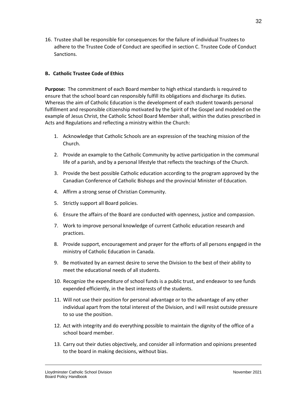16. Trustee shall be responsible for consequences for the failure of individual Trustees to adhere to the Trustee Code of Conduct are specified in section C. Trustee Code of Conduct Sanctions.

#### **B. Catholic Trustee Code of Ethics**

**Purpose:** The commitment of each Board member to high ethical standards is required to ensure that the school board can responsibly fulfill its obligations and discharge its duties. Whereas the aim of Catholic Education is the development of each student towards personal fulfillment and responsible citizenship motivated by the Spirit of the Gospel and modeled on the example of Jesus Christ, the Catholic School Board Member shall, within the duties prescribed in Acts and Regulations and reflecting a ministry within the Church:

- 1. Acknowledge that Catholic Schools are an expression of the teaching mission of the Church.
- 2. Provide an example to the Catholic Community by active participation in the communal life of a parish, and by a personal lifestyle that reflects the teachings of the Church.
- 3. Provide the best possible Catholic education according to the program approved by the Canadian Conference of Catholic Bishops and the provincial Minister of Education.
- 4. Affirm a strong sense of Christian Community.
- 5. Strictly support all Board policies.
- 6. Ensure the affairs of the Board are conducted with openness, justice and compassion.
- 7. Work to improve personal knowledge of current Catholic education research and practices.
- 8. Provide support, encouragement and prayer for the efforts of all persons engaged in the ministry of Catholic Education in Canada.
- 9. Be motivated by an earnest desire to serve the Division to the best of their ability to meet the educational needs of all students.
- 10. Recognize the expenditure of school funds is a public trust, and endeavor to see funds expended efficiently, in the best interests of the students.
- 11. Will not use their position for personal advantage or to the advantage of any other individual apart from the total interest of the Division, and I will resist outside pressure to so use the position.
- 12. Act with integrity and do everything possible to maintain the dignity of the office of a school board member.
- 13. Carry out their duties objectively, and consider all information and opinions presented to the board in making decisions, without bias.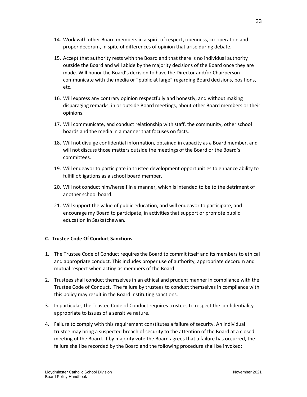- 14. Work with other Board members in a spirit of respect, openness, co-operation and proper decorum, in spite of differences of opinion that arise during debate.
- 15. Accept that authority rests with the Board and that there is no individual authority outside the Board and will abide by the majority decisions of the Board once they are made. Will honor the Board's decision to have the Director and/or Chairperson communicate with the media or "public at large" regarding Board decisions, positions, etc.
- 16. Will express any contrary opinion respectfully and honestly, and without making disparaging remarks, in or outside Board meetings, about other Board members or their opinions.
- 17. Will communicate, and conduct relationship with staff, the community, other school boards and the media in a manner that focuses on facts.
- 18. Will not divulge confidential information, obtained in capacity as a Board member, and will not discuss those matters outside the meetings of the Board or the Board's committees.
- 19. Will endeavor to participate in trustee development opportunities to enhance ability to fulfill obligations as a school board member.
- 20. Will not conduct him/herself in a manner, which is intended to be to the detriment of another school board.
- 21. Will support the value of public education, and will endeavor to participate, and encourage my Board to participate, in activities that support or promote public education in Saskatchewan.

## **C. Trustee Code Of Conduct Sanctions**

- 1. The Trustee Code of Conduct requires the Board to commit itself and its members to ethical and appropriate conduct. This includes proper use of authority, appropriate decorum and mutual respect when acting as members of the Board.
- 2. Trustees shall conduct themselves in an ethical and prudent manner in compliance with the Trustee Code of Conduct. The failure by trustees to conduct themselves in compliance with this policy may result in the Board instituting sanctions.
- 3. In particular, the Trustee Code of Conduct requires trustees to respect the confidentiality appropriate to issues of a sensitive nature.
- 4. Failure to comply with this requirement constitutes a failure of security. An individual trustee may bring a suspected breach of security to the attention of the Board at a closed meeting of the Board. If by majority vote the Board agrees that a failure has occurred, the failure shall be recorded by the Board and the following procedure shall be invoked: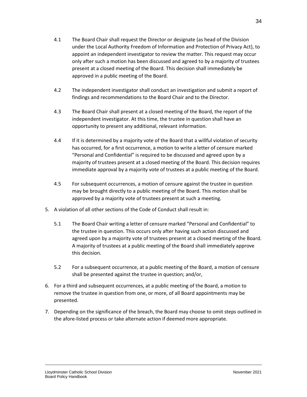- 4.1 The Board Chair shall request the Director or designate (as head of the Division under the Local Authority Freedom of Information and Protection of Privacy Act), to appoint an independent investigator to review the matter. This request may occur only after such a motion has been discussed and agreed to by a majority of trustees present at a closed meeting of the Board. This decision shall immediately be approved in a public meeting of the Board.
- 4.2 The independent investigator shall conduct an investigation and submit a report of findings and recommendations to the Board Chair and to the Director.
- 4.3 The Board Chair shall present at a closed meeting of the Board, the report of the independent investigator. At this time, the trustee in question shall have an opportunity to present any additional, relevant information.
- 4.4 If it is determined by a majority vote of the Board that a willful violation of security has occurred, for a first occurrence, a motion to write a letter of censure marked "Personal and Confidential" is required to be discussed and agreed upon by a majority of trustees present at a closed meeting of the Board. This decision requires immediate approval by a majority vote of trustees at a public meeting of the Board.
- 4.5 For subsequent occurrences, a motion of censure against the trustee in question may be brought directly to a public meeting of the Board. This motion shall be approved by a majority vote of trustees present at such a meeting.
- 5. A violation of all other sections of the Code of Conduct shall result in:
	- 5.1 The Board Chair writing a letter of censure marked "Personal and Confidential" to the trustee in question. This occurs only after having such action discussed and agreed upon by a majority vote of trustees present at a closed meeting of the Board. A majority of trustees at a public meeting of the Board shall immediately approve this decision.
	- 5.2 For a subsequent occurrence, at a public meeting of the Board, a motion of censure shall be presented against the trustee in question; and/or,
- 6. For a third and subsequent occurrences, at a public meeting of the Board, a motion to remove the trustee in question from one, or more, of all Board appointments may be presented.
- 7. Depending on the significance of the breach, the Board may choose to omit steps outlined in the afore-listed process or take alternate action if deemed more appropriate.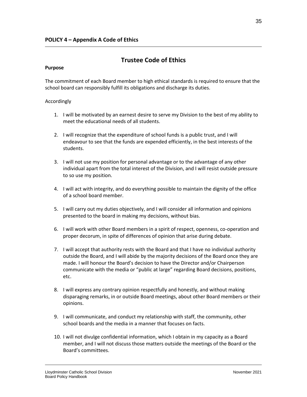# **Trustee Code of Ethics**

#### **Purpose**

The commitment of each Board member to high ethical standards is required to ensure that the school board can responsibly fulfill its obligations and discharge its duties.

#### Accordingly

- 1. I will be motivated by an earnest desire to serve my Division to the best of my ability to meet the educational needs of all students.
- 2. I will recognize that the expenditure of school funds is a public trust, and I will endeavour to see that the funds are expended efficiently, in the best interests of the students.
- 3. I will not use my position for personal advantage or to the advantage of any other individual apart from the total interest of the Division, and I will resist outside pressure to so use my position.
- 4. I will act with integrity, and do everything possible to maintain the dignity of the office of a school board member.
- 5. I will carry out my duties objectively, and I will consider all information and opinions presented to the board in making my decisions, without bias.
- 6. I will work with other Board members in a spirit of respect, openness, co-operation and proper decorum, in spite of differences of opinion that arise during debate.
- 7. I will accept that authority rests with the Board and that I have no individual authority outside the Board, and I will abide by the majority decisions of the Board once they are made. I will honour the Board's decision to have the Director and/or Chairperson communicate with the media or "public at large" regarding Board decisions, positions, etc.
- 8. I will express any contrary opinion respectfully and honestly, and without making disparaging remarks, in or outside Board meetings, about other Board members or their opinions.
- 9. I will communicate, and conduct my relationship with staff, the community, other school boards and the media in a manner that focuses on facts.
- 10. I will not divulge confidential information, which I obtain in my capacity as a Board member, and I will not discuss those matters outside the meetings of the Board or the Board's committees.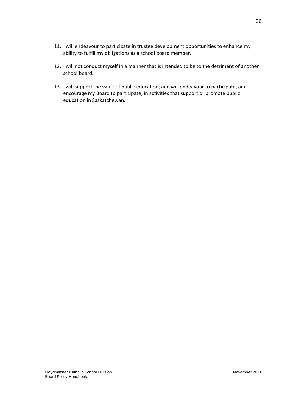- 11. I will endeavour to participate in trustee development opportunities to enhance my ability to fulfill my obligations as a school board member.
- 12. I will not conduct myself in a manner that is intended to be to the detriment of another school board.
- 13. I will support the value of public education, and will endeavour to participate, and encourage my Board to participate, in activities that support or promote public education in Saskatchewan.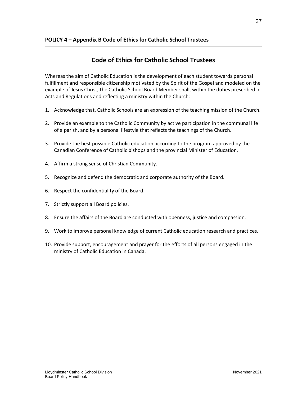# **Code of Ethics for Catholic School Trustees**

Whereas the aim of Catholic Education is the development of each student towards personal fulfillment and responsible citizenship motivated by the Spirit of the Gospel and modeled on the example of Jesus Christ, the Catholic School Board Member shall, within the duties prescribed in Acts and Regulations and reflecting a ministry within the Church:

- 1. Acknowledge that, Catholic Schools are an expression of the teaching mission of the Church.
- 2. Provide an example to the Catholic Community by active participation in the communal life of a parish, and by a personal lifestyle that reflects the teachings of the Church.
- 3. Provide the best possible Catholic education according to the program approved by the Canadian Conference of Catholic bishops and the provincial Minister of Education.
- 4. Affirm a strong sense of Christian Community.
- 5. Recognize and defend the democratic and corporate authority of the Board.
- 6. Respect the confidentiality of the Board.
- 7. Strictly support all Board policies.
- 8. Ensure the affairs of the Board are conducted with openness, justice and compassion.
- 9. Work to improve personal knowledge of current Catholic education research and practices.
- 10. Provide support, encouragement and prayer for the efforts of all persons engaged in the ministry of Catholic Education in Canada.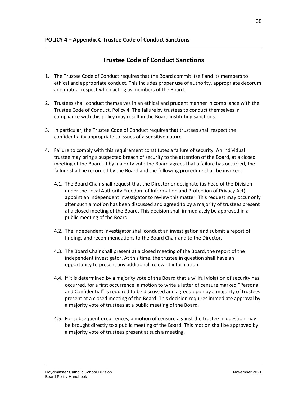# **Trustee Code of Conduct Sanctions**

- 1. The Trustee Code of Conduct requires that the Board commit itself and its members to ethical and appropriate conduct. This includes proper use of authority, appropriate decorum and mutual respect when acting as members of the Board.
- 2. Trustees shall conduct themselves in an ethical and prudent manner in compliance with the Trustee Code of Conduct, Policy 4. The failure by trustees to conduct themselves in compliance with this policy may result in the Board instituting sanctions.
- 3. In particular, the Trustee Code of Conduct requires that trustees shall respect the confidentiality appropriate to issues of a sensitive nature.
- 4. Failure to comply with this requirement constitutes a failure of security. An individual trustee may bring a suspected breach of security to the attention of the Board, at a closed meeting of the Board. If by majority vote the Board agrees that a failure has occurred, the failure shall be recorded by the Board and the following procedure shall be invoked:
	- 4.1. The Board Chair shall request that the Director or designate (as head of the Division under the Local Authority Freedom of Information and Protection of Privacy Act), appoint an independent investigator to review this matter. This request may occur only after such a motion has been discussed and agreed to by a majority of trustees present at a closed meeting of the Board. This decision shall immediately be approved in a public meeting of the Board.
	- 4.2. The independent investigator shall conduct an investigation and submit a report of findings and recommendations to the Board Chair and to the Director.
	- 4.3. The Board Chair shall present at a closed meeting of the Board, the report of the independent investigator. At this time, the trustee in question shall have an opportunity to present any additional, relevant information.
	- 4.4. If it is determined by a majority vote of the Board that a willful violation of security has occurred, for a first occurrence, a motion to write a letter of censure marked "Personal and Confidential" is required to be discussed and agreed upon by a majority of trustees present at a closed meeting of the Board. This decision requires immediate approval by a majority vote of trustees at a public meeting of the Board.
	- 4.5. For subsequent occurrences, a motion of censure against the trustee in question may be brought directly to a public meeting of the Board. This motion shall be approved by a majority vote of trustees present at such a meeting.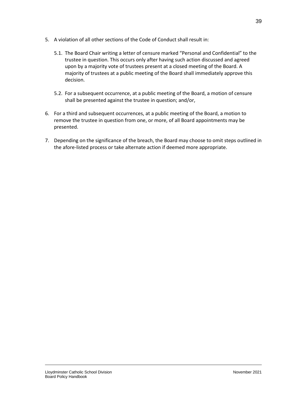- 5. A violation of all other sections of the Code of Conduct shall result in:
	- 5.1. The Board Chair writing a letter of censure marked "Personal and Confidential" to the trustee in question. This occurs only after having such action discussed and agreed upon by a majority vote of trustees present at a closed meeting of the Board. A majority of trustees at a public meeting of the Board shall immediately approve this decision.
	- 5.2. For a subsequent occurrence, at a public meeting of the Board, a motion of censure shall be presented against the trustee in question; and/or,
- 6. For a third and subsequent occurrences, at a public meeting of the Board, a motion to remove the trustee in question from one, or more, of all Board appointments may be presented.
- 7. Depending on the significance of the breach, the Board may choose to omit steps outlined in the afore-listed process or take alternate action if deemed more appropriate.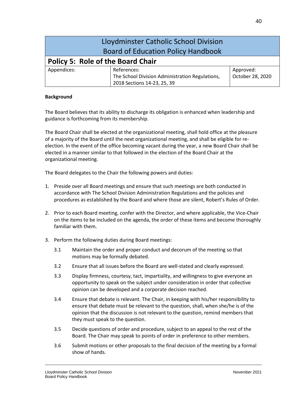| Lloydminster Catholic School Division<br><b>Board of Education Policy Handbook</b> |                                                                                               |                               |
|------------------------------------------------------------------------------------|-----------------------------------------------------------------------------------------------|-------------------------------|
| <b>Policy 5: Role of the Board Chair</b>                                           |                                                                                               |                               |
| Appendices:                                                                        | References:<br>The School Division Administration Regulations,<br>2018 Sections 14-23, 25, 39 | Approved:<br>October 28, 2020 |

The Board believes that its ability to discharge its obligation is enhanced when leadership and guidance is forthcoming from its membership.

The Board Chair shall be elected at the organizational meeting, shall hold office at the pleasure of a majority of the Board until the next organizational meeting, and shall be eligible for reelection. In the event of the office becoming vacant during the year, a new Board Chair shall be elected in a manner similar to that followed in the election of the Board Chair at the organizational meeting.

The Board delegates to the Chair the following powers and duties:

- 1. Preside over all Board meetings and ensure that such meetings are both conducted in accordance with The School Division Administration Regulations and the policies and procedures as established by the Board and where those are silent, Robert's Rules of Order.
- 2. Prior to each Board meeting, confer with the Director, and where applicable, the Vice-Chair on the items to be included on the agenda, the order of these items and become thoroughly familiar with them.
- 3. Perform the following duties during Board meetings:
	- 3.1 Maintain the order and proper conduct and decorum of the meeting so that motions may be formally debated.
	- 3.2 Ensure that all issues before the Board are well-stated and clearly expressed.
	- 3.3 Display firmness, courtesy, tact, impartiality, and willingness to give everyone an opportunity to speak on the subject under consideration in order that collective opinion can be developed and a corporate decision reached.
	- 3.4 Ensure that debate is relevant. The Chair, in keeping with his/her responsibility to ensure that debate must be relevant to the question, shall, when she/he is of the opinion that the discussion is not relevant to the question, remind members that they must speak to the question.
	- 3.5 Decide questions of order and procedure, subject to an appeal to the rest of the Board. The Chair may speak to points of order in preference to other members.
	- 3.6 Submit motions or other proposals to the final decision of the meeting by a formal show of hands.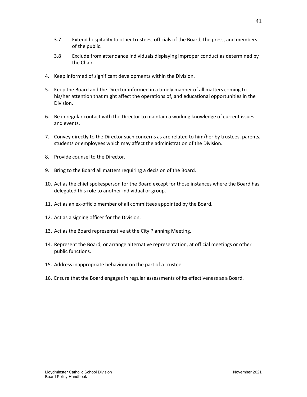41

- 3.7 Extend hospitality to other trustees, officials of the Board, the press, and members of the public.
- 3.8 Exclude from attendance individuals displaying improper conduct as determined by the Chair.
- 4. Keep informed of significant developments within the Division.
- 5. Keep the Board and the Director informed in a timely manner of all matters coming to his/her attention that might affect the operations of, and educational opportunities in the Division.
- 6. Be in regular contact with the Director to maintain a working knowledge of current issues and events.
- 7. Convey directly to the Director such concerns as are related to him/her by trustees, parents, students or employees which may affect the administration of the Division.
- 8. Provide counsel to the Director.
- 9. Bring to the Board all matters requiring a decision of the Board.
- 10. Act as the chief spokesperson for the Board except for those instances where the Board has delegated this role to another individual or group.
- 11. Act as an ex-officio member of all committees appointed by the Board.
- 12. Act as a signing officer for the Division.
- 13. Act as the Board representative at the City Planning Meeting.
- 14. Represent the Board, or arrange alternative representation, at official meetings or other public functions.
- 15. Address inappropriate behaviour on the part of a trustee.
- 16. Ensure that the Board engages in regular assessments of its effectiveness as a Board.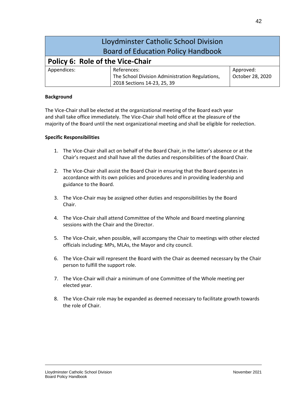| Lloydminster Catholic School Division<br><b>Board of Education Policy Handbook</b> |                                                                                               |                               |
|------------------------------------------------------------------------------------|-----------------------------------------------------------------------------------------------|-------------------------------|
| Policy 6: Role of the Vice-Chair                                                   |                                                                                               |                               |
| Appendices:                                                                        | References:<br>The School Division Administration Regulations,<br>2018 Sections 14-23, 25, 39 | Approved:<br>October 28, 2020 |

The Vice-Chair shall be elected at the organizational meeting of the Board each year and shall take office immediately. The Vice-Chair shall hold office at the pleasure of the majority of the Board until the next organizational meeting and shall be eligible for reelection.

### **Specific Responsibilities**

- 1. The Vice-Chair shall act on behalf of the Board Chair, in the latter's absence or at the Chair's request and shall have all the duties and responsibilities of the Board Chair.
- 2. The Vice-Chair shall assist the Board Chair in ensuring that the Board operates in accordance with its own policies and procedures and in providing leadership and guidance to the Board.
- 3. The Vice-Chair may be assigned other duties and responsibilities by the Board Chair.
- 4. The Vice-Chair shall attend Committee of the Whole and Board meeting planning sessions with the Chair and the Director.
- 5. The Vice-Chair, when possible, will accompany the Chair to meetings with other elected officials including: MPs, MLAs, the Mayor and city council.
- 6. The Vice-Chair will represent the Board with the Chair as deemed necessary by the Chair person to fulfill the support role.
- 7. The Vice-Chair will chair a minimum of one Committee of the Whole meeting per elected year.
- 8. The Vice-Chair role may be expanded as deemed necessary to facilitate growth towards the role of Chair.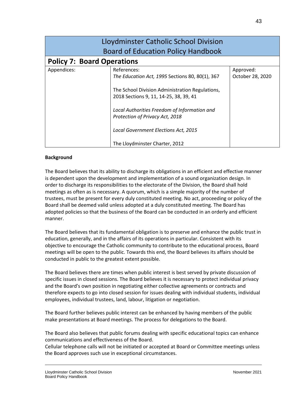| Lloydminster Catholic School Division<br><b>Board of Education Policy Handbook</b> |                                                                                                                                                                                                                                                                                                                          |                               |
|------------------------------------------------------------------------------------|--------------------------------------------------------------------------------------------------------------------------------------------------------------------------------------------------------------------------------------------------------------------------------------------------------------------------|-------------------------------|
| <b>Policy 7: Board Operations</b>                                                  |                                                                                                                                                                                                                                                                                                                          |                               |
| Appendices:                                                                        | References:<br>The Education Act, 1995 Sections 80, 80(1), 367<br>The School Division Administration Regulations,<br>2018 Sections 9, 11, 14-25, 38, 39, 41<br>Local Authorities Freedom of Information and<br>Protection of Privacy Act, 2018<br>Local Government Elections Act, 2015<br>The Lloydminster Charter, 2012 | Approved:<br>October 28, 2020 |

The Board believes that its ability to discharge its obligations in an efficient and effective manner is dependent upon the development and implementation of a sound organization design. In order to discharge its responsibilities to the electorate of the Division, the Board shall hold meetings as often as is necessary. A quorum, which is a simple majority of the number of trustees, must be present for every duly constituted meeting. No act, proceeding or policy of the Board shall be deemed valid unless adopted at a duly constituted meeting. The Board has adopted policies so that the business of the Board can be conducted in an orderly and efficient manner.

The Board believes that its fundamental obligation is to preserve and enhance the public trust in education, generally, and in the affairs of its operations in particular. Consistent with its objective to encourage the Catholic community to contribute to the educational process, Board meetings will be open to the public. Towards this end, the Board believes its affairs should be conducted in public to the greatest extent possible.

The Board believes there are times when public interest is best served by private discussion of specific issues in closed sessions. The Board believes it is necessary to protect individual privacy and the Board's own position in negotiating either collective agreements or contracts and therefore expects to go into closed session for issues dealing with individual students, individual employees, individual trustees, land, labour, litigation or negotiation.

The Board further believes public interest can be enhanced by having members of the public make presentations at Board meetings. The process for delegations to the Board.

The Board also believes that public forums dealing with specific educational topics can enhance communications and effectiveness of the Board.

Cellular telephone calls will not be initiated or accepted at Board or Committee meetings unless the Board approves such use in exceptional circumstances.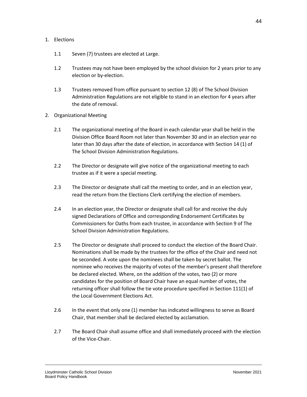#### 1. Elections

- 1.1 Seven (7) trustees are elected at Large.
- 1.2 Trustees may not have been employed by the school division for 2 years prior to any election or by-election.
- 1.3 Trustees removed from office pursuant to section 12 (8) of The School Division Administration Regulations are not eligible to stand in an election for 4 years after the date of removal.
- 2. Organizational Meeting
	- 2.1 The organizational meeting of the Board in each calendar year shall be held in the Division Office Board Room not later than November 30 and in an election year no later than 30 days after the date of election, in accordance with Section 14 (1) of The School Division Administration Regulations.
	- 2.2 The Director or designate will give notice of the organizational meeting to each trustee as if it were a special meeting.
	- 2.3 The Director or designate shall call the meeting to order, and in an election year, read the return from the Elections Clerk certifying the election of members.
	- 2.4 In an election year, the Director or designate shall call for and receive the duly signed Declarations of Office and corresponding Endorsement Certificates by Commissioners for Oaths from each trustee, in accordance with Section 9 of The School Division Administration Regulations.
	- 2.5 The Director or designate shall proceed to conduct the election of the Board Chair. Nominations shall be made by the trustees for the office of the Chair and need not be seconded. A vote upon the nominees shall be taken by secret ballot. The nominee who receives the majority of votes of the member's present shall therefore be declared elected. Where, on the addition of the votes, two (2) or more candidates for the position of Board Chair have an equal number of votes, the returning officer shall follow the tie vote procedure specified in Section 111(1) of the Local Government Elections Act.
	- 2.6 In the event that only one (1) member has indicated willingness to serve as Board Chair, that member shall be declared elected by acclamation.
	- 2.7 The Board Chair shall assume office and shall immediately proceed with the election of the Vice-Chair.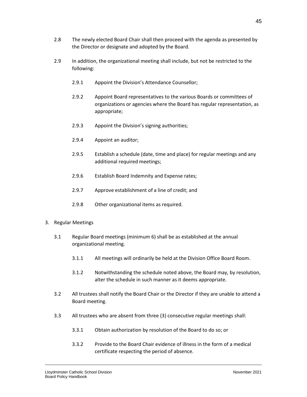- 2.8 The newly elected Board Chair shall then proceed with the agenda as presented by the Director or designate and adopted by the Board.
- 2.9 In addition, the organizational meeting shall include, but not be restricted to the following:
	- 2.9.1 Appoint the Division's Attendance Counsellor;
	- 2.9.2 Appoint Board representatives to the various Boards or committees of organizations or agencies where the Board has regular representation, as appropriate;
	- 2.9.3 Appoint the Division's signing authorities;
	- 2.9.4 Appoint an auditor;
	- 2.9.5 Establish a schedule (date, time and place) for regular meetings and any additional required meetings;
	- 2.9.6 Establish Board Indemnity and Expense rates;
	- 2.9.7 Approve establishment of a line of credit; and
	- 2.9.8 Other organizational items as required.
- 3. Regular Meetings
	- 3.1 Regular Board meetings (minimum 6) shall be as established at the annual organizational meeting.
		- 3.1.1 All meetings will ordinarily be held at the Division Office Board Room.
		- 3.1.2 Notwithstanding the schedule noted above, the Board may, by resolution, alter the schedule in such manner as it deems appropriate.
	- 3.2 All trustees shall notify the Board Chair or the Director if they are unable to attend a Board meeting.
	- 3.3 All trustees who are absent from three (3) consecutive regular meetings shall:
		- 3.3.1 Obtain authorization by resolution of the Board to do so; or
		- 3.3.2 Provide to the Board Chair evidence of illness in the form of a medical certificate respecting the period of absence.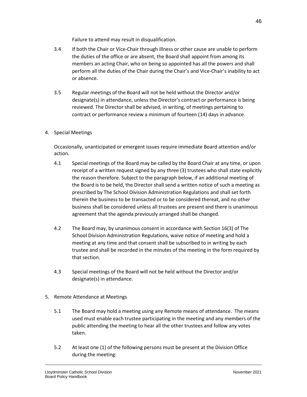Failure to attend may result in disqualification.

- 3.4 If both the Chair or Vice-Chair through illness or other cause are unable to perform the duties of the office or are absent, the Board shall appoint from among its members an acting Chair, who on being so appointed has all the powers and shall perform all the duties of the Chair during the Chair's and Vice-Chair's inability to act or absence.
- 3.5 Regular meetings of the Board will not be held without the Director and/or designate(s) in attendance, unless the Director's contract or performance is being reviewed. The Director shall be advised, in writing, of meetings pertaining to contract or performance review a minimum of fourteen (14) days in advance.
- 4. Special Meetings

Occasionally, unanticipated or emergent issues require immediate Board attention and/or action.

- 4.1 Special meetings of the Board may be called by the Board Chair at any time, or upon receipt of a written request signed by any three (3) trustees who shall state explicitly the reason therefore. Subject to the paragraph below, if an additional meeting of the Board is to be held, the Director shall send a written notice of such a meeting as prescribed by The School Division Administration Regulations and shall set forth therein the business to be transacted or to be considered thereat, and no other business shall be considered unless all trustees are present and there is unanimous agreement that the agenda previously arranged shall be changed.
- 4.2 The Board may, by unanimous consent in accordance with Section 16(3) of The School Division Administration Regulations, waive notice of meeting and hold a meeting at any time and that consent shall be subscribed to in writing by each trustee and shall be recorded in the minutes of the meeting in the form required by that section.
- 4.3 Special meetings of the Board will not be held without the Director and/or designate(s) in attendance.
- 5. Remote Attendance at Meetings
	- 5.1 The Board may hold a meeting using any Remote means of attendance. The means used must enable each trustee participating in the meeting and any members of the public attending the meeting to hear all the other trustees and follow any votes taken.
	- 5.2 At least one (1) of the following persons must be present at the Division Office during the meeting: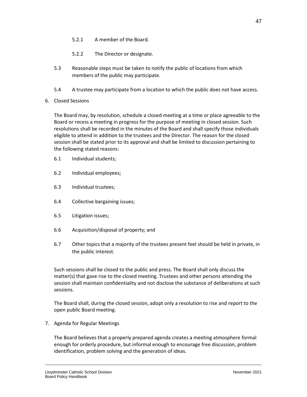- 5.2.1 A member of the Board.
- 5.2.2 The Director or designate.
- 5.3 Reasonable steps must be taken to notify the public of locations from which members of the public may participate.
- 5.4 A trustee may participate from a location to which the public does not have access.
- 6. Closed Sessions

The Board may, by resolution, schedule a closed meeting at a time or place agreeable to the Board or recess a meeting in progress for the purpose of meeting in closed session. Such resolutions shall be recorded in the minutes of the Board and shall specify those individuals eligible to attend in addition to the trustees and the Director. The reason for the closed session shall be stated prior to its approval and shall be limited to discussion pertaining to the following stated reasons:

- 6.1 Individual students;
- 6.2 Individual employees;
- 6.3 Individual trustees;
- 6.4 Collective bargaining issues;
- 6.5 Litigation issues;
- 6.6 Acquisition/disposal of property; and
- 6.7 Other topics that a majority of the trustees present feel should be held in private, in the public interest.

Such sessions shall be closed to the public and press. The Board shall only discuss the matter(s) that gave rise to the closed meeting. Trustees and other persons attending the session shall maintain confidentiality and not disclose the substance of deliberations at such sessions.

The Board shall, during the closed session, adopt only a resolution to rise and report to the open public Board meeting.

7. Agenda for Regular Meetings

The Board believes that a properly prepared agenda creates a meeting atmosphere formal enough for orderly procedure, but informal enough to encourage free discussion, problem identification, problem solving and the generation of ideas.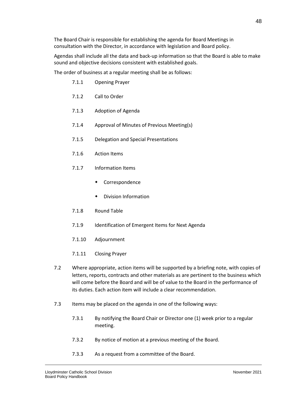The Board Chair is responsible for establishing the agenda for Board Meetings in consultation with the Director, in accordance with legislation and Board policy.

Agendas shall include all the data and back-up information so that the Board is able to make sound and objective decisions consistent with established goals.

The order of business at a regular meeting shall be as follows:

- 7.1.1 Opening Prayer
- 7.1.2 Call to Order
- 7.1.3 Adoption of Agenda
- 7.1.4 Approval of Minutes of Previous Meeting(s)
- 7.1.5 Delegation and Special Presentations
- 7.1.6 Action Items
- 7.1.7 Information Items
	- Correspondence
	- Division Information
- 7.1.8 Round Table
- 7.1.9 Identification of Emergent Items for Next Agenda
- 7.1.10 Adjournment
- 7.1.11 Closing Prayer
- 7.2 Where appropriate, action items will be supported by a briefing note, with copies of letters, reports, contracts and other materials as are pertinent to the business which will come before the Board and will be of value to the Board in the performance of its duties. Each action item will include a clear recommendation.
- 7.3 Items may be placed on the agenda in one of the following ways:
	- 7.3.1 By notifying the Board Chair or Director one (1) week prior to a regular meeting.
	- 7.3.2 By notice of motion at a previous meeting of the Board.
	- 7.3.3 As a request from a committee of the Board.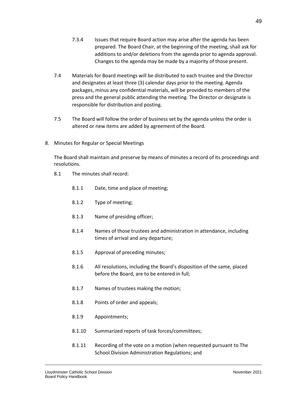- 7.3.4 Issues that require Board action may arise after the agenda has been prepared. The Board Chair, at the beginning of the meeting, shall ask for additions to and/or deletions from the agenda prior to agenda approval. Changes to the agenda may be made by a majority of those present.
- 7.4 Materials for Board meetings will be distributed to each trustee and the Director and designates at least three (3) calendar days prior to the meeting. Agenda packages, minus any confidential materials, will be provided to members of the press and the general public attending the meeting. The Director or designate is responsible for distribution and posting.
- 7.5 The Board will follow the order of business set by the agenda unless the order is altered or new items are added by agreement of the Board.
- 8. Minutes for Regular or Special Meetings

The Board shall maintain and preserve by means of minutes a record of its proceedings and resolutions.

- 8.1 The minutes shall record:
	- 8.1.1 Date, time and place of meeting;
	- 8.1.2 Type of meeting;
	- 8.1.3 Name of presiding officer;
	- 8.1.4 Names of those trustees and administration in attendance, including times of arrival and any departure;
	- 8.1.5 Approval of preceding minutes;
	- 8.1.6 All resolutions, including the Board's disposition of the same, placed before the Board, are to be entered in full;
	- 8.1.7 Names of trustees making the motion;
	- 8.1.8 Points of order and appeals;
	- 8.1.9 Appointments;
	- 8.1.10 Summarized reports of task forces/committees;
	- 8.1.11 Recording of the vote on a motion (when requested pursuant to The School Division Administration Regulations; and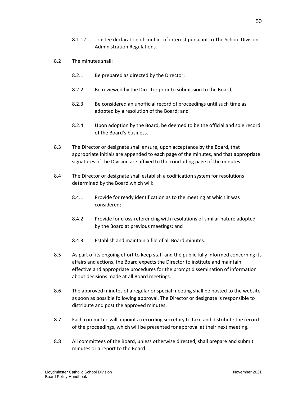- 8.1.12 Trustee declaration of conflict of interest pursuant to The School Division Administration Regulations.
- 8.2 The minutes shall:
	- 8.2.1 Be prepared as directed by the Director;
	- 8.2.2 Be reviewed by the Director prior to submission to the Board;
	- 8.2.3 Be considered an unofficial record of proceedings until such time as adopted by a resolution of the Board; and
	- 8.2.4 Upon adoption by the Board, be deemed to be the official and sole record of the Board's business.
- 8.3 The Director or designate shall ensure, upon acceptance by the Board, that appropriate initials are appended to each page of the minutes, and that appropriate signatures of the Division are affixed to the concluding page of the minutes.
- 8.4 The Director or designate shall establish a codification system for resolutions determined by the Board which will:
	- 8.4.1 Provide for ready identification as to the meeting at which it was considered;
	- 8.4.2 Provide for cross-referencing with resolutions of similar nature adopted by the Board at previous meetings; and
	- 8.4.3 Establish and maintain a file of all Board minutes.
- 8.5 As part of its ongoing effort to keep staff and the public fully informed concerning its affairs and actions, the Board expects the Director to institute and maintain effective and appropriate procedures for the prompt dissemination of information about decisions made at all Board meetings.
- 8.6 The approved minutes of a regular or special meeting shall be posted to the website as soon as possible following approval. The Director or designate is responsible to distribute and post the approved minutes.
- 8.7 Each committee will appoint a recording secretary to take and distribute the record of the proceedings, which will be presented for approval at their next meeting.
- 8.8 All committees of the Board, unless otherwise directed, shall prepare and submit minutes or a report to the Board.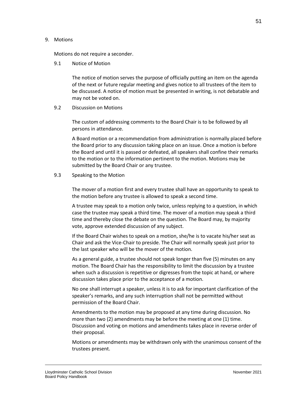#### 9. Motions

Motions do not require a seconder.

### 9.1 Notice of Motion

The notice of motion serves the purpose of officially putting an item on the agenda of the next or future regular meeting and gives notice to all trustees of the item to be discussed. A notice of motion must be presented in writing, is not debatable and may not be voted on.

## 9.2 Discussion on Motions

The custom of addressing comments to the Board Chair is to be followed by all persons in attendance.

A Board motion or a recommendation from administration is normally placed before the Board prior to any discussion taking place on an issue. Once a motion is before the Board and until it is passed or defeated, all speakers shall confine their remarks to the motion or to the information pertinent to the motion. Motions may be submitted by the Board Chair or any trustee.

#### 9.3 Speaking to the Motion

The mover of a motion first and every trustee shall have an opportunity to speak to the motion before any trustee is allowed to speak a second time.

A trustee may speak to a motion only twice, unless replying to a question, in which case the trustee may speak a third time. The mover of a motion may speak a third time and thereby close the debate on the question. The Board may, by majority vote, approve extended discussion of any subject.

If the Board Chair wishes to speak on a motion, she/he is to vacate his/her seat as Chair and ask the Vice-Chair to preside. The Chair will normally speak just prior to the last speaker who will be the mover of the motion.

As a general guide, a trustee should not speak longer than five (5) minutes on any motion. The Board Chair has the responsibility to limit the discussion by a trustee when such a discussion is repetitive or digresses from the topic at hand, or where discussion takes place prior to the acceptance of a motion.

No one shall interrupt a speaker, unless it is to ask for important clarification of the speaker's remarks, and any such interruption shall not be permitted without permission of the Board Chair.

Amendments to the motion may be proposed at any time during discussion. No more than two (2) amendments may be before the meeting at one (1) time. Discussion and voting on motions and amendments takes place in reverse order of their proposal.

Motions or amendments may be withdrawn only with the unanimous consent of the trustees present.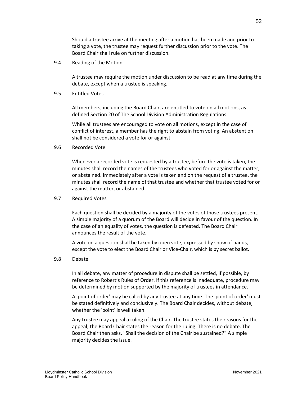Should a trustee arrive at the meeting after a motion has been made and prior to taking a vote, the trustee may request further discussion prior to the vote. The Board Chair shall rule on further discussion.

9.4 Reading of the Motion

A trustee may require the motion under discussion to be read at any time during the debate, except when a trustee is speaking.

9.5 Entitled Votes

All members, including the Board Chair, are entitled to vote on all motions, as defined Section 20 of The School Division Administration Regulations.

While all trustees are encouraged to vote on all motions, except in the case of conflict of interest, a member has the right to abstain from voting. An abstention shall not be considered a vote for or against.

9.6 Recorded Vote

Whenever a recorded vote is requested by a trustee, before the vote is taken, the minutes shall record the names of the trustees who voted for or against the matter, or abstained. Immediately after a vote is taken and on the request of a trustee, the minutes shall record the name of that trustee and whether that trustee voted for or against the matter, or abstained.

9.7 Required Votes

Each question shall be decided by a majority of the votes of those trustees present. A simple majority of a quorum of the Board will decide in favour of the question. In the case of an equality of votes, the question is defeated. The Board Chair announces the result of the vote.

A vote on a question shall be taken by open vote, expressed by show of hands, except the vote to elect the Board Chair or Vice-Chair, which is by secret ballot.

9.8 Debate

In all debate, any matter of procedure in dispute shall be settled, if possible, by reference to Robert's Rules of Order. If this reference is inadequate, procedure may be determined by motion supported by the majority of trustees in attendance.

A 'point of order' may be called by any trustee at any time. The 'point of order' must be stated definitively and conclusively. The Board Chair decides, without debate, whether the 'point' is well taken.

Any trustee may appeal a ruling of the Chair. The trustee states the reasons for the appeal; the Board Chair states the reason for the ruling. There is no debate. The Board Chair then asks, "Shall the decision of the Chair be sustained?" A simple majority decides the issue.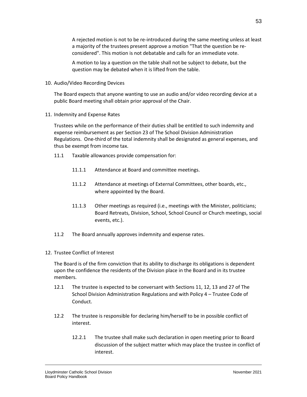A rejected motion is not to be re-introduced during the same meeting unless at least a majority of the trustees present approve a motion "That the question be reconsidered". This motion is not debatable and calls for an immediate vote.

A motion to lay a question on the table shall not be subject to debate, but the question may be debated when it is lifted from the table.

10. Audio/Video Recording Devices

The Board expects that anyone wanting to use an audio and/or video recording device at a public Board meeting shall obtain prior approval of the Chair.

11. Indemnity and Expense Rates

Trustees while on the performance of their duties shall be entitled to such indemnity and expense reimbursement as per Section 23 of The School Division Administration Regulations. One-third of the total indemnity shall be designated as general expenses, and thus be exempt from income tax.

- 11.1 Taxable allowances provide compensation for:
	- 11.1.1 Attendance at Board and committee meetings.
	- 11.1.2 Attendance at meetings of External Committees, other boards, etc., where appointed by the Board.
	- 11.1.3 Other meetings as required (i.e., meetings with the Minister, politicians; Board Retreats, Division, School, School Council or Church meetings, social events, etc.).
- 11.2 The Board annually approves indemnity and expense rates.
- 12. Trustee Conflict of Interest

The Board is of the firm conviction that its ability to discharge its obligations is dependent upon the confidence the residents of the Division place in the Board and in its trustee members.

- 12.1 The trustee is expected to be conversant with Sections 11, 12, 13 and 27 of The School Division Administration Regulations and with Policy 4 – Trustee Code of Conduct.
- 12.2 The trustee is responsible for declaring him/herself to be in possible conflict of interest.
	- 12.2.1 The trustee shall make such declaration in open meeting prior to Board discussion of the subject matter which may place the trustee in conflict of interest.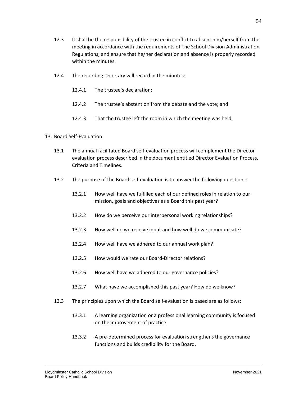- 12.3 It shall be the responsibility of the trustee in conflict to absent him/herself from the meeting in accordance with the requirements of The School Division Administration Regulations, and ensure that he/her declaration and absence is properly recorded within the minutes.
- 12.4 The recording secretary will record in the minutes:
	- 12.4.1 The trustee's declaration;
	- 12.4.2 The trustee's abstention from the debate and the vote; and
	- 12.4.3 That the trustee left the room in which the meeting was held.

#### 13. Board Self-Evaluation

- 13.1 The annual facilitated Board self-evaluation process will complement the Director evaluation process described in the document entitled Director Evaluation Process, Criteria and Timelines.
- 13.2 The purpose of the Board self-evaluation is to answer the following questions:
	- 13.2.1 How well have we fulfilled each of our defined roles in relation to our mission, goals and objectives as a Board this past year?
	- 13.2.2 How do we perceive our interpersonal working relationships?
	- 13.2.3 How well do we receive input and how well do we communicate?
	- 13.2.4 How well have we adhered to our annual work plan?
	- 13.2.5 How would we rate our Board-Director relations?
	- 13.2.6 How well have we adhered to our governance policies?
	- 13.2.7 What have we accomplished this past year? How do we know?
- 13.3 The principles upon which the Board self-evaluation is based are as follows:
	- 13.3.1 A learning organization or a professional learning community is focused on the improvement of practice.
	- 13.3.2 A pre-determined process for evaluation strengthens the governance functions and builds credibility for the Board.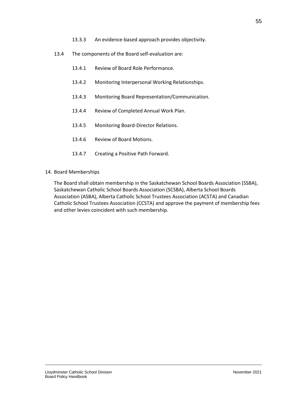- 13.3.3 An evidence-based approach provides objectivity.
- 13.4 The components of the Board self-evaluation are:
	- 13.4.1 Review of Board Role Performance.
	- 13.4.2 Monitoring Interpersonal Working Relationships.
	- 13.4.3 Monitoring Board Representation/Communication.
	- 13.4.4 Review of Completed Annual Work Plan.
	- 13.4.5 Monitoring Board-Director Relations.
	- 13.4.6 Review of Board Motions.
	- 13.4.7 Creating a Positive Path Forward.
- 14. Board Memberships

The Board shall obtain membership in the Saskatchewan School Boards Association (SSBA), Saskatchewan Catholic School Boards Association (SCSBA), Alberta School Boards Association (ASBA), Alberta Catholic School Trustees Association (ACSTA) and Canadian Catholic School Trustees Association (CCSTA) and approve the payment of membership fees and other levies coincident with such membership.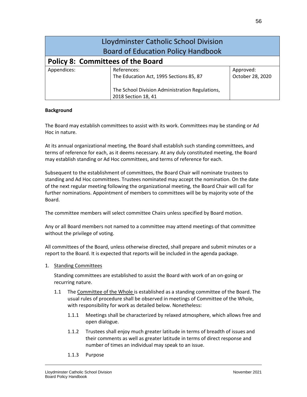|                                          | Lloydminster Catholic School Division           |                  |
|------------------------------------------|-------------------------------------------------|------------------|
|                                          | <b>Board of Education Policy Handbook</b>       |                  |
| <b>Policy 8: Committees of the Board</b> |                                                 |                  |
| Appendices:                              | References:                                     | Approved:        |
|                                          | The Education Act, 1995 Sections 85, 87         | October 28, 2020 |
|                                          | The School Division Administration Regulations, |                  |
|                                          | 2018 Section 18, 41                             |                  |

The Board may establish committees to assist with its work. Committees may be standing or Ad Hoc in nature.

At its annual organizational meeting, the Board shall establish such standing committees, and terms of reference for each, as it deems necessary. At any duly constituted meeting, the Board may establish standing or Ad Hoc committees, and terms of reference for each.

Subsequent to the establishment of committees, the Board Chair will nominate trustees to standing and Ad Hoc committees. Trustees nominated may accept the nomination. On the date of the next regular meeting following the organizational meeting, the Board Chair will call for further nominations. Appointment of members to committees will be by majority vote of the Board.

The committee members will select committee Chairs unless specified by Board motion.

Any or all Board members not named to a committee may attend meetings of that committee without the privilege of voting.

All committees of the Board, unless otherwise directed, shall prepare and submit minutes or a report to the Board. It is expected that reports will be included in the agenda package.

1. Standing Committees

Standing committees are established to assist the Board with work of an on-going or recurring nature.

- 1.1 The Committee of the Whole is established as a standing committee of the Board. The usual rules of procedure shall be observed in meetings of Committee of the Whole, with responsibility for work as detailed below. Nonetheless:
	- 1.1.1 Meetings shall be characterized by relaxed atmosphere, which allows free and open dialogue.
	- 1.1.2 Trustees shall enjoy much greater latitude in terms of breadth of issues and their comments as well as greater latitude in terms of direct response and number of times an individual may speak to an issue.
	- 1.1.3 Purpose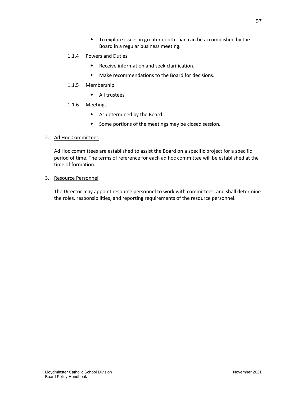- To explore issues in greater depth than can be accomplished by the Board in a regular business meeting.
- 1.1.4 Powers and Duties
	- Receive information and seek clarification.
	- Make recommendations to the Board for decisions.
- 1.1.5 Membership
	- All trustees
- 1.1.6 Meetings
	- As determined by the Board.
	- Some portions of the meetings may be closed session.

## 2. Ad Hoc Committees

Ad Hoc committees are established to assist the Board on a specific project for a specific period of time. The terms of reference for each ad hoc committee will be established at the time of formation.

### 3. Resource Personnel

The Director may appoint resource personnel to work with committees, and shall determine the roles, responsibilities, and reporting requirements of the resource personnel.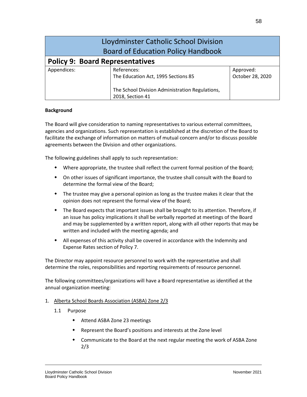| Lloydminster Catholic School Division<br><b>Board of Education Policy Handbook</b> |                                                 |                  |
|------------------------------------------------------------------------------------|-------------------------------------------------|------------------|
| <b>Policy 9: Board Representatives</b>                                             |                                                 |                  |
| Appendices:                                                                        | References:                                     | Approved:        |
|                                                                                    | The Education Act, 1995 Sections 85             | October 28, 2020 |
|                                                                                    | The School Division Administration Regulations, |                  |
|                                                                                    | 2018, Section 41                                |                  |

The Board will give consideration to naming representatives to various external committees, agencies and organizations. Such representation is established at the discretion of the Board to facilitate the exchange of information on matters of mutual concern and/or to discuss possible agreements between the Division and other organizations.

The following guidelines shall apply to such representation:

- Where appropriate, the trustee shall reflect the current formal position of the Board;
- On other issues of significant importance, the trustee shall consult with the Board to determine the formal view of the Board;
- The trustee may give a personal opinion as long as the trustee makes it clear that the opinion does not represent the formal view of the Board;
- The Board expects that important issues shall be brought to its attention. Therefore, if an issue has policy implications it shall be verbally reported at meetings of the Board and may be supplemented by a written report, along with all other reports that may be written and included with the meeting agenda; and
- All expenses of this activity shall be covered in accordance with the Indemnity and Expense Rates section of Policy 7.

The Director may appoint resource personnel to work with the representative and shall determine the roles, responsibilities and reporting requirements of resource personnel.

The following committees/organizations will have a Board representative as identified at the annual organization meeting:

#### 1. Alberta School Boards Association (ASBA) Zone 2/3

- 1.1 Purpose
	- Attend ASBA Zone 23 meetings
	- Represent the Board's positions and interests at the Zone level
	- Communicate to the Board at the next regular meeting the work of ASBA Zone 2/3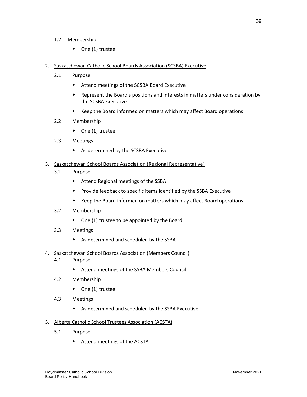- 1.2 Membership
	- One (1) trustee
- 2. Saskatchewan Catholic School Boards Association (SCSBA) Executive
	- 2.1 Purpose
		- Attend meetings of the SCSBA Board Executive
		- Represent the Board's positions and interests in matters under consideration by the SCSBA Executive
		- Keep the Board informed on matters which may affect Board operations
	- 2.2 Membership
		- ◆ One (1) trustee
	- 2.3 Meetings
		- As determined by the SCSBA Executive
- 3. Saskatchewan School Boards Association (Regional Representative)
	- 3.1 Purpose
		- Attend Regional meetings of the SSBA
		- Provide feedback to specific items identified by the SSBA Executive
		- Keep the Board informed on matters which may affect Board operations
	- 3.2 Membership
		- One (1) trustee to be appointed by the Board
	- 3.3 Meetings
		- As determined and scheduled by the SSBA
- 4. Saskatchewan School Boards Association (Members Council)
	- 4.1 Purpose
		- Attend meetings of the SSBA Members Council
	- 4.2 Membership
		- One (1) trustee
	- 4.3 Meetings
		- As determined and scheduled by the SSBA Executive
- 5. Alberta Catholic School Trustees Association (ACSTA)
	- 5.1 Purpose
		- Attend meetings of the ACSTA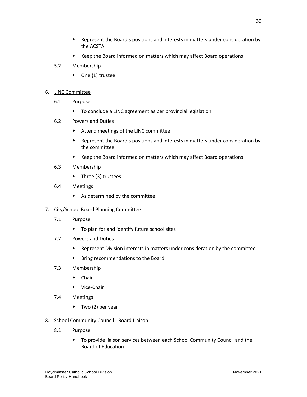- Keep the Board informed on matters which may affect Board operations
- 5.2 Membership
	- One (1) trustee

### 6. LINC Committee

- 6.1 Purpose
	- To conclude a LINC agreement as per provincial legislation
- 6.2 Powers and Duties
	- Attend meetings of the LINC committee
	- Represent the Board's positions and interests in matters under consideration by the committee
	- Keep the Board informed on matters which may affect Board operations
- 6.3 Membership
	- Three (3) trustees
- 6.4 Meetings
	- As determined by the committee

# 7. City/School Board Planning Committee

- 7.1 Purpose
	- To plan for and identify future school sites
- 7.2 Powers and Duties
	- Represent Division interests in matters under consideration by the committee
	- Bring recommendations to the Board
- 7.3 Membership
	- Chair
	- Vice-Chair
- 7.4 Meetings
	- $\bullet$  Two (2) per year
- 8. School Community Council Board Liaison
	- 8.1 Purpose
		- To provide liaison services between each School Community Council and the Board of Education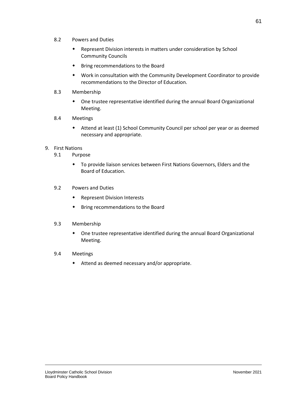- 8.2 Powers and Duties
	- Represent Division interests in matters under consideration by School Community Councils
	- Bring recommendations to the Board
	- Work in consultation with the Community Development Coordinator to provide recommendations to the Director of Education.
- 8.3 Membership
	- One trustee representative identified during the annual Board Organizational Meeting.

### 8.4 Meetings

 Attend at least (1) School Community Council per school per year or as deemed necessary and appropriate.

#### 9. First Nations

- 9.1 Purpose
	- To provide liaison services between First Nations Governors, Elders and the Board of Education.

### 9.2 Powers and Duties

- Represent Division Interests
- Bring recommendations to the Board

#### 9.3 Membership

 One trustee representative identified during the annual Board Organizational Meeting.

## 9.4 Meetings

Attend as deemed necessary and/or appropriate.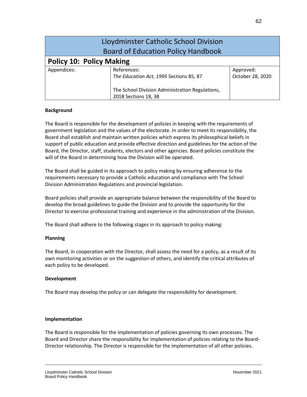|                                           | Lloydminster Catholic School Division           |                  |
|-------------------------------------------|-------------------------------------------------|------------------|
| <b>Board of Education Policy Handbook</b> |                                                 |                  |
| <b>Policy 10: Policy Making</b>           |                                                 |                  |
| Appendices:                               | References:                                     | Approved:        |
|                                           | The Education Act, 1995 Sections 85, 87         | October 28, 2020 |
|                                           | The School Division Administration Regulations, |                  |
|                                           | 2018 Sections 18, 38                            |                  |

The Board is responsible for the development of policies in keeping with the requirements of government legislation and the values of the electorate. In order to meet its responsibility, the Board shall establish and maintain written policies which express its philosophical beliefs in support of public education and provide effective direction and guidelines for the action of the Board, the Director, staff, students, electors and other agencies. Board policies constitute the will of the Board in determining how the Division will be operated.

The Board shall be guided in its approach to policy making by ensuring adherence to the requirements necessary to provide a Catholic education and compliance with The School Division Administration Regulations and provincial legislation.

Board policies shall provide an appropriate balance between the responsibility of the Board to develop the broad guidelines to guide the Division and to provide the opportunity for the Director to exercise professional training and experience in the administration of the Division.

The Board shall adhere to the following stages in its approach to policy making:

### **Planning**

The Board, in cooperation with the Director, shall assess the need for a policy, as a result of its own monitoring activities or on the suggestion of others, and identify the critical attributes of each policy to be developed.

### **Development**

The Board may develop the policy or can delegate the responsibility for development.

#### **Implementation**

The Board is responsible for the implementation of policies governing its own processes. The Board and Director share the responsibility for implementation of policies relating to the Board-Director relationship. The Director is responsible for the implementation of all other policies.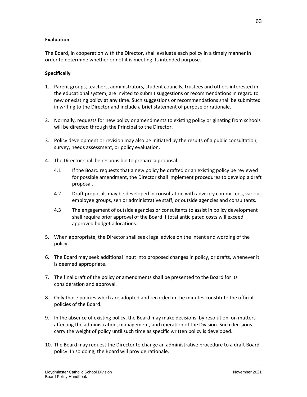#### **Evaluation**

The Board, in cooperation with the Director, shall evaluate each policy in a timely manner in order to determine whether or not it is meeting its intended purpose.

#### **Specifically**

- 1. Parent groups, teachers, administrators, student councils, trustees and others interested in the educational system, are invited to submit suggestions or recommendations in regard to new or existing policy at any time. Such suggestions or recommendations shall be submitted in writing to the Director and include a brief statement of purpose or rationale.
- 2. Normally, requests for new policy or amendments to existing policy originating from schools will be directed through the Principal to the Director.
- 3. Policy development or revision may also be initiated by the results of a public consultation, survey, needs assessment, or policy evaluation.
- 4. The Director shall be responsible to prepare a proposal.
	- 4.1 If the Board requests that a new policy be drafted or an existing policy be reviewed for possible amendment, the Director shall implement procedures to develop a draft proposal.
	- 4.2 Draft proposals may be developed in consultation with advisory committees, various employee groups, senior administrative staff, or outside agencies and consultants.
	- 4.3 The engagement of outside agencies or consultants to assist in policy development shall require prior approval of the Board if total anticipated costs will exceed approved budget allocations.
- 5. When appropriate, the Director shall seek legal advice on the intent and wording of the policy.
- 6. The Board may seek additional input into proposed changes in policy, or drafts, whenever it is deemed appropriate.
- 7. The final draft of the policy or amendments shall be presented to the Board for its consideration and approval.
- 8. Only those policies which are adopted and recorded in the minutes constitute the official policies of the Board.
- 9. In the absence of existing policy, the Board may make decisions, by resolution, on matters affecting the administration, management, and operation of the Division. Such decisions carry the weight of policy until such time as specific written policy is developed.
- 10. The Board may request the Director to change an administrative procedure to a draft Board policy. In so doing, the Board will provide rationale.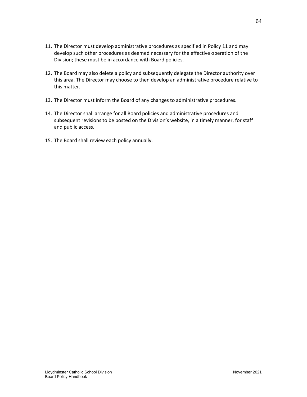- 11. The Director must develop administrative procedures as specified in Policy 11 and may develop such other procedures as deemed necessary for the effective operation of the Division; these must be in accordance with Board policies.
- 12. The Board may also delete a policy and subsequently delegate the Director authority over this area. The Director may choose to then develop an administrative procedure relative to this matter.
- 13. The Director must inform the Board of any changes to administrative procedures.
- 14. The Director shall arrange for all Board policies and administrative procedures and subsequent revisions to be posted on the Division's website, in a timely manner, for staff and public access.
- 15. The Board shall review each policy annually.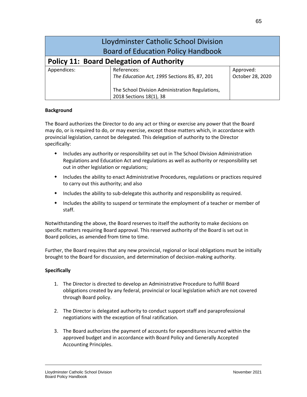|                                                 | Lloydminster Catholic School Division           |                  |
|-------------------------------------------------|-------------------------------------------------|------------------|
|                                                 | <b>Board of Education Policy Handbook</b>       |                  |
| <b>Policy 11: Board Delegation of Authority</b> |                                                 |                  |
| Appendices:                                     | References:                                     | Approved:        |
|                                                 | The Education Act, 1995 Sections 85, 87, 201    | October 28, 2020 |
|                                                 | The School Division Administration Regulations, |                  |

The Board authorizes the Director to do any act or thing or exercise any power that the Board may do, or is required to do, or may exercise, except those matters which, in accordance with provincial legislation, cannot be delegated. This delegation of authority to the Director specifically:

2018 Sections 18(1), 38

- Includes any authority or responsibility set out in The School Division Administration Regulations and Education Act and regulations as well as authority or responsibility set out in other legislation or regulations;
- Includes the ability to enact Administrative Procedures, regulations or practices required to carry out this authority; and also
- Includes the ability to sub-delegate this authority and responsibility as required.
- Includes the ability to suspend or terminate the employment of a teacher or member of staff.

Notwithstanding the above, the Board reserves to itself the authority to make decisions on specific matters requiring Board approval. This reserved authority of the Board is set out in Board policies, as amended from time to time.

Further, the Board requires that any new provincial, regional or local obligations must be initially brought to the Board for discussion, and determination of decision-making authority.

### **Specifically**

- 1. The Director is directed to develop an Administrative Procedure to fulfill Board obligations created by any federal, provincial or local legislation which are not covered through Board policy.
- 2. The Director is delegated authority to conduct support staff and paraprofessional negotiations with the exception of final ratification.
- 3. The Board authorizes the payment of accounts for expenditures incurred within the approved budget and in accordance with Board Policy and Generally Accepted Accounting Principles.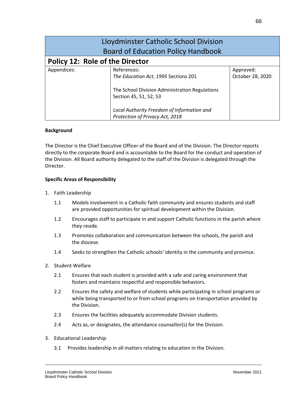| Lloydminster Catholic School Division<br><b>Board of Education Policy Handbook</b> |                                                                                                                                 |                               |
|------------------------------------------------------------------------------------|---------------------------------------------------------------------------------------------------------------------------------|-------------------------------|
| <b>Policy 12: Role of the Director</b>                                             |                                                                                                                                 |                               |
| Appendices:                                                                        | References:<br>The Education Act, 1995 Sections 201<br>The School Division Administration Regulations<br>Section 45, 51, 52, 53 | Approved:<br>October 28, 2020 |
|                                                                                    | Local Authority Freedom of Information and<br>Protection of Privacy Act, 2018                                                   |                               |

The Director is the Chief Executive Officer of the Board and of the Division. The Director reports directly to the corporate Board and is accountable to the Board for the conduct and operation of the Division. All Board authority delegated to the staff of the Division is delegated through the Director.

### **Specific Areas of Responsibility**

- 1. Faith Leadership
	- 1.1 Models involvement in a Catholic faith community and ensures students and staff are provided opportunities for spiritual development within the Division.
	- 1.2 Encourages staff to participate in and support Catholic functions in the parish where they reside.
	- 1.3 Promotes collaboration and communication between the schools, the parish and the diocese.
	- 1.4 Seeks to strengthen the Catholic schools' identity in the community and province.
- 2. Student Welfare
	- 2.1 Ensures that each student is provided with a safe and caring environment that fosters and maintains respectful and responsible behaviors.
	- 2.2 Ensures the safety and welfare of students while participating in school programs or while being transported to or from school programs on transportation provided by the Division.
	- 2.3 Ensures the facilities adequately accommodate Division students.
	- 2.4 Acts as, or designates, the attendance counsellor(s) for the Division.
- 3. Educational Leadership
	- 3.1 Provides leadership in all matters relating to education in the Division.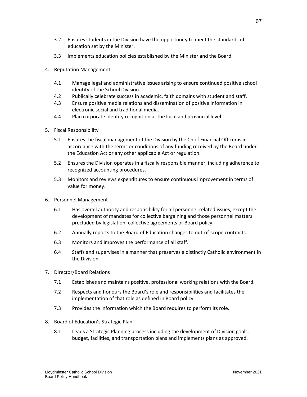- 3.2 Ensures students in the Division have the opportunity to meet the standards of education set by the Minister.
- 3.3 Implements education policies established by the Minister and the Board.
- 4. Reputation Management
	- 4.1 Manage legal and administrative issues arising to ensure continued positive school identity of the School Division.
	- 4.2 Publically celebrate success in academic, faith domains with student and staff.
	- 4.3 Ensure positive media relations and dissemination of positive information in electronic social and traditional media.
	- 4.4 Plan corporate identity recognition at the local and provincial level.
- 5. Fiscal Responsibility
	- 5.1 Ensures the fiscal management of the Division by the Chief Financial Officer is in accordance with the terms or conditions of any funding received by the Board under the Education Act or any other applicable Act or regulation.
	- 5.2 Ensures the Division operates in a fiscally responsible manner, including adherence to recognized accounting procedures.
	- 5.3 Monitors and reviews expenditures to ensure continuous improvement in terms of value for money.
- 6. Personnel Management
	- 6.1 Has overall authority and responsibility for all personnel-related issues, except the development of mandates for collective bargaining and those personnel matters precluded by legislation, collective agreements or Board policy.
	- 6.2 Annually reports to the Board of Education changes to out-of-scope contracts.
	- 6.3 Monitors and improves the performance of all staff.
	- 6.4 Staffs and supervises in a manner that preserves a distinctly Catholic environment in the Division.
- 7. Director/Board Relations
	- 7.1 Establishes and maintains positive, professional working relations with the Board.
	- 7.2 Respects and honours the Board's role and responsibilities and facilitates the implementation of that role as defined in Board policy.
	- 7.3 Provides the information which the Board requires to perform its role.
- 8. Board of Education's Strategic Plan
	- 8.1 Leads a Strategic Planning process including the development of Division goals, budget, facilities, and transportation plans and implements plans as approved.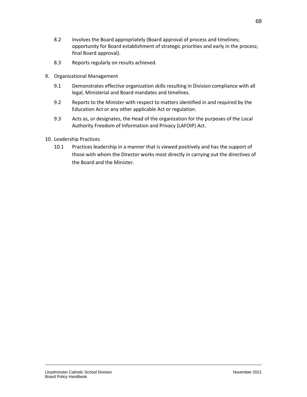- 8.2 Involves the Board appropriately (Board approval of process and timelines; opportunity for Board establishment of strategic priorities and early in the process; final Board approval).
- 8.3 Reports regularly on results achieved.
- 9. Organizational Management
	- 9.1 Demonstrates effective organization skills resulting in Division compliance with all legal, Ministerial and Board mandates and timelines.
	- 9.2 Reports to the Minister with respect to matters identified in and required by the Education Act or any other applicable Act or regulation.
	- 9.3 Acts as, or designates, the Head of the organization for the purposes of the Local Authority Freedom of Information and Privacy (LAFOIP) Act.
- 10. Leadership Practices
	- 10.1 Practices leadership in a manner that is viewed positively and has the support of those with whom the Director works most directly in carrying out the directives of the Board and the Minister.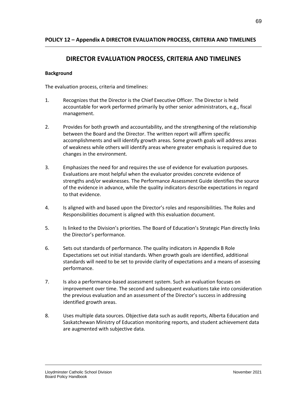# **DIRECTOR EVALUATION PROCESS, CRITERIA AND TIMELINES**

# **Background**

The evaluation process, criteria and timelines:

- 1. Recognizes that the Director is the Chief Executive Officer. The Director is held accountable for work performed primarily by other senior administrators, e.g., fiscal management.
- 2. Provides for both growth and accountability, and the strengthening of the relationship between the Board and the Director. The written report will affirm specific accomplishments and will identify growth areas. Some growth goals will address areas of weakness while others will identify areas where greater emphasis is required due to changes in the environment.
- 3. Emphasizes the need for and requires the use of evidence for evaluation purposes. Evaluations are most helpful when the evaluator provides concrete evidence of strengths and/or weaknesses. The Performance Assessment Guide identifies the source of the evidence in advance, while the quality indicators describe expectations in regard to that evidence.
- 4. Is aligned with and based upon the Director's roles and responsibilities. The Roles and Responsibilities document is aligned with this evaluation document.
- 5. Is linked to the Division's priorities. The Board of Education's Strategic Plan directly links the Director's performance.
- 6. Sets out standards of performance. The quality indicators in Appendix B Role Expectations set out initial standards. When growth goals are identified, additional standards will need to be set to provide clarity of expectations and a means of assessing performance.
- 7. Is also a performance-based assessment system. Such an evaluation focuses on improvement over time. The second and subsequent evaluations take into consideration the previous evaluation and an assessment of the Director's success in addressing identified growth areas.
- 8. Uses multiple data sources. Objective data such as audit reports, Alberta Education and Saskatchewan Ministry of Education monitoring reports, and student achievement data are augmented with subjective data.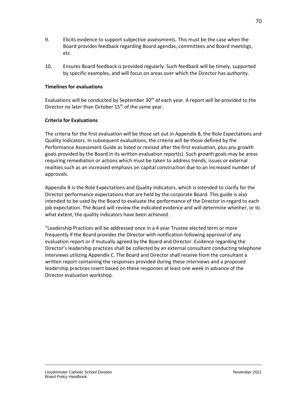- 9. Elicits evidence to support subjective assessments. This must be the case when the Board provides feedback regarding Board agendas, committees and Board meetings, etc.
- 10. Ensures Board feedback is provided regularly. Such feedback will be timely, supported by specific examples, and will focus on areas over which the Director has authority.

## **Timelines for evaluations**

Evaluations will be conducted by September  $30<sup>th</sup>$  of each year. A report will be provided to the Director no later than October  $15<sup>th</sup>$  of the same year.

## **Criteria for Evaluations**

The criteria for the first evaluation will be those set out in Appendix B, the Role Expectations and Quality Indicators. In subsequent evaluations, the criteria will be those defined by the Performance Assessment Guide as listed or revised after the first evaluation, plus any growth goals provided by the Board in its written evaluation report(s). Such growth goals may be areas requiring remediation or actions which must be taken to address trends, issues or external realities such as an increased emphasis on capital construction due to an increased number of approvals.

Appendix B is the Role Expectations and Quality Indicators, which is intended to clarify for the Director performance expectations that are held by the corporate Board. This guide is also intended to be used by the Board to evaluate the performance of the Director in regard to each job expectation. The Board will review the indicated evidence and will determine whether, or to what extent, the quality indicators have been achieved.

"Leadership Practices will be addressed once in a 4 year Trustee elected term or more frequently if the Board provides the Director with notification following approval of any evaluation report or if mutually agreed by the Board and Director. Evidence regarding the Director's leadership practices shall be collected by an external consultant conducting telephone interviews utilizing Appendix C. The Board and Director shall receive from the consultant a written report containing the responses provided during these interviews and a proposed leadership practices insert based on these responses at least one week in advance of the Director evaluation workshop.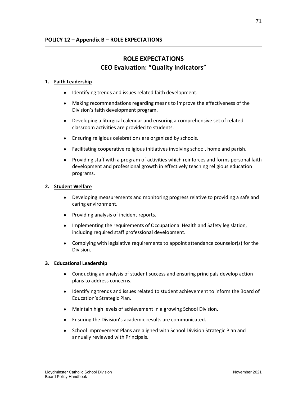## **ROLE EXPECTATIONS CEO Evaluation: "Quality Indicators**"

## **1. Faith Leadership**

- $\bullet$  Identifying trends and issues related faith development.
- Making recommendations regarding means to improve the effectiveness of the Division's faith development program.
- Developing a liturgical calendar and ensuring a comprehensive set of related classroom activities are provided to students.
- Ensuring religious celebrations are organized by schools.
- Facilitating cooperative religious initiatives involving school, home and parish.
- Providing staff with a program of activities which reinforces and forms personal faith development and professional growth in effectively teaching religious education programs.

## **2. Student Welfare**

- Developing measurements and monitoring progress relative to providing a safe and caring environment.
- Providing analysis of incident reports.
- Implementing the requirements of Occupational Health and Safety legislation, including required staff professional development.
- Complying with legislative requirements to appoint attendance counselor(s) for the Division.

## **3. Educational Leadership**

- Conducting an analysis of student success and ensuring principals develop action plans to address concerns.
- Identifying trends and issues related to student achievement to inform the Board of Education's Strategic Plan.
- Maintain high levels of achievement in a growing School Division.
- Ensuring the Division's academic results are communicated.
- School Improvement Plans are aligned with School Division Strategic Plan and annually reviewed with Principals.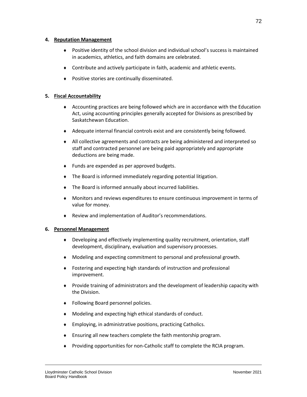## **4. Reputation Management**

- Positive identity of the school division and individual school's success is maintained in academics, athletics, and faith domains are celebrated.
- Contribute and actively participate in faith, academic and athletic events.
- ◆ Positive stories are continually disseminated.

## **5. Fiscal Accountability**

- Accounting practices are being followed which are in accordance with the Education Act, using accounting principles generally accepted for Divisions as prescribed by Saskatchewan Education.
- Adequate internal financial controls exist and are consistently being followed.
- All collective agreements and contracts are being administered and interpreted so staff and contracted personnel are being paid appropriately and appropriate deductions are being made.
- ◆ Funds are expended as per approved budgets.
- The Board is informed immediately regarding potential litigation.
- The Board is informed annually about incurred liabilities.
- Monitors and reviews expenditures to ensure continuous improvement in terms of value for money.
- Review and implementation of Auditor's recommendations.

## **6. Personnel Management**

- Developing and effectively implementing quality recruitment, orientation, staff development, disciplinary, evaluation and supervisory processes.
- Modeling and expecting commitment to personal and professional growth.
- Fostering and expecting high standards of instruction and professional improvement.
- Provide training of administrators and the development of leadership capacity with the Division.
- Following Board personnel policies.
- Modeling and expecting high ethical standards of conduct.
- Employing, in administrative positions, practicing Catholics.
- Ensuring all new teachers complete the faith mentorship program.
- Providing opportunities for non-Catholic staff to complete the RCIA program.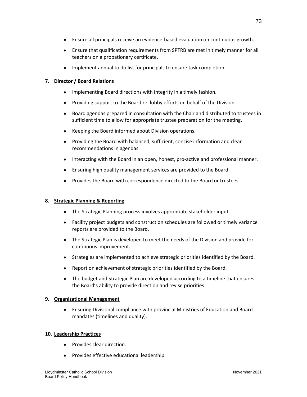- Ensure all principals receive an evidence-based evaluation on continuous growth.
- Ensure that qualification requirements from SPTRB are met in timely manner for all teachers on a probationary certificate.
- Implement annual to do list for principals to ensure task completion.

## **7. Director / Board Relations**

- Implementing Board directions with integrity in a timely fashion.
- Providing support to the Board re: lobby efforts on behalf of the Division.
- Board agendas prepared in consultation with the Chair and distributed to trustees in sufficient time to allow for appropriate trustee preparation for the meeting.
- ◆ Keeping the Board informed about Division operations.
- Providing the Board with balanced, sufficient, concise information and clear recommendations in agendas.
- Interacting with the Board in an open, honest, pro-active and professional manner.
- Ensuring high quality management services are provided to the Board.
- Provides the Board with correspondence directed to the Board or trustees.

## **8. Strategic Planning & Reporting**

- The Strategic Planning process involves appropriate stakeholder input.
- Facility project budgets and construction schedules are followed or timely variance reports are provided to the Board.
- The Strategic Plan is developed to meet the needs of the Division and provide for continuous improvement.
- Strategies are implemented to achieve strategic priorities identified by the Board.
- Report on achievement of strategic priorities identified by the Board.
- The budget and Strategic Plan are developed according to a timeline that ensures the Board's ability to provide direction and revise priorities.

## **9. Organizational Management**

 Ensuring Divisional compliance with provincial Ministries of Education and Board mandates (timelines and quality).

## **10. Leadership Practices**

- ◆ Provides clear direction.
- Provides effective educational leadership.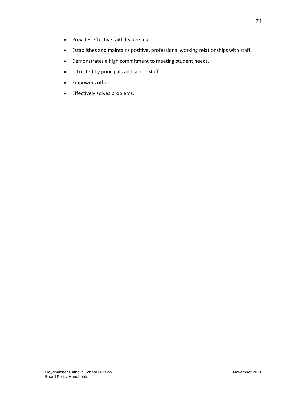- Provides effective faith leadership.
- Establishes and maintains positive, professional working relationships with staff.
- Demonstrates a high commitment to meeting student needs.
- $\bullet$  Is trusted by principals and senior staff
- Empowers others.
- **+** Effectively solves problems.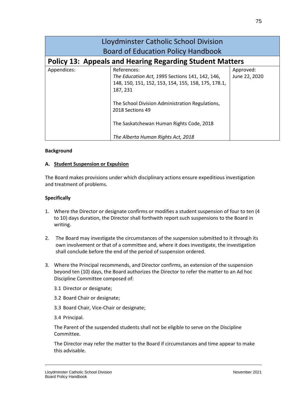| Lloydminster Catholic School Division<br><b>Board of Education Policy Handbook</b> |                                                                                                                                                                                                                                                                                            |                            |
|------------------------------------------------------------------------------------|--------------------------------------------------------------------------------------------------------------------------------------------------------------------------------------------------------------------------------------------------------------------------------------------|----------------------------|
| <b>Policy 13: Appeals and Hearing Regarding Student Matters</b>                    |                                                                                                                                                                                                                                                                                            |                            |
| Appendices:                                                                        | References:<br>The Education Act, 1995 Sections 141, 142, 146,<br>148, 150, 151, 152, 153, 154, 155, 158, 175, 178.1,<br>187, 231<br>The School Division Administration Regulations,<br>2018 Sections 49<br>The Saskatchewan Human Rights Code, 2018<br>The Alberta Human Rights Act, 2018 | Approved:<br>June 22, 2020 |

#### **A. Student Suspension or Expulsion**

The Board makes provisions under which disciplinary actions ensure expeditious investigation and treatment of problems.

#### **Specifically**

- 1. Where the Director or designate confirms or modifies a student suspension of four to ten (4 to 10) days duration, the Director shall forthwith report such suspensions to the Board in writing.
- 2. The Board may investigate the circumstances of the suspension submitted to it through its own involvement or that of a committee and, where it does investigate, the investigation shall conclude before the end of the period of suspension ordered.
- 3. Where the Principal recommends, and Director confirms, an extension of the suspension beyond ten (10) days, the Board authorizes the Director to refer the matter to an Ad hoc Discipline Committee composed of:
	- 3.1 Director or designate;
	- 3.2 Board Chair or designate;
	- 3.3 Board Chair, Vice-Chair or designate;
	- 3.4 Principal.

The Parent of the suspended students shall not be eligible to serve on the Discipline Committee.

The Director may refer the matter to the Board if circumstances and time appear to make this advisable.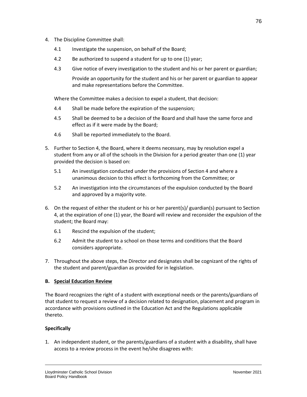- 4. The Discipline Committee shall:
	- 4.1 Investigate the suspension, on behalf of the Board;
	- 4.2 Be authorized to suspend a student for up to one (1) year;
	- 4.3 Give notice of every investigation to the student and his or her parent or guardian;

Provide an opportunity for the student and his or her parent or guardian to appear and make representations before the Committee.

Where the Committee makes a decision to expel a student, that decision:

- 4.4 Shall be made before the expiration of the suspension;
- 4.5 Shall be deemed to be a decision of the Board and shall have the same force and effect as if it were made by the Board;
- 4.6 Shall be reported immediately to the Board.
- 5. Further to Section 4, the Board, where it deems necessary, may by resolution expel a student from any or all of the schools in the Division for a period greater than one (1) year provided the decision is based on:
	- 5.1 An investigation conducted under the provisions of Section 4 and where a unanimous decision to this effect is forthcoming from the Committee; or
	- 5.2 An investigation into the circumstances of the expulsion conducted by the Board and approved by a majority vote.
- 6. On the request of either the student or his or her parent(s)/ guardian(s) pursuant to Section 4, at the expiration of one (1) year, the Board will review and reconsider the expulsion of the student; the Board may:
	- 6.1 Rescind the expulsion of the student;
	- 6.2 Admit the student to a school on those terms and conditions that the Board considers appropriate.
- 7. Throughout the above steps, the Director and designates shall be cognizant of the rights of the student and parent/guardian as provided for in legislation.

## **B. Special Education Review**

The Board recognizes the right of a student with exceptional needs or the parents/guardians of that student to request a review of a decision related to designation, placement and program in accordance with provisions outlined in the Education Act and the Regulations applicable thereto.

## **Specifically**

1. An independent student, or the parents/guardians of a student with a disability, shall have access to a review process in the event he/she disagrees with: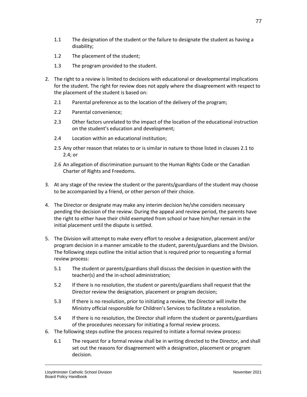- 1.1 The designation of the student or the failure to designate the student as having a disability;
- 1.2 The placement of the student;
- 1.3 The program provided to the student.
- 2. The right to a review is limited to decisions with educational or developmental implications for the student. The right for review does not apply where the disagreement with respect to the placement of the student is based on:
	- 2.1 Parental preference as to the location of the delivery of the program;
	- 2.2 Parental convenience;
	- 2.3 Other factors unrelated to the impact of the location of the educational instruction on the student's education and development;
	- 2.4 Location within an educational institution;
	- 2.5 Any other reason that relates to or is similar in nature to those listed in clauses 2.1 to 2.4; or
	- 2.6 An allegation of discrimination pursuant to the Human Rights Code or the Canadian Charter of Rights and Freedoms.
- 3. At any stage of the review the student or the parents/guardians of the student may choose to be accompanied by a friend, or other person of their choice.
- 4. The Director or designate may make any interim decision he/she considers necessary pending the decision of the review. During the appeal and review period, the parents have the right to either have their child exempted from school or have him/her remain in the initial placement until the dispute is settled.
- 5. The Division will attempt to make every effort to resolve a designation, placement and/or program decision in a manner amicable to the student, parents/guardians and the Division. The following steps outline the initial action that is required prior to requesting a formal review process:
	- 5.1 The student or parents/guardians shall discuss the decision in question with the teacher(s) and the in-school administration;
	- 5.2 If there is no resolution, the student or parents/guardians shall request that the Director review the designation, placement or program decision;
	- 5.3 If there is no resolution, prior to initiating a review, the Director will invite the Ministry official responsible for Children's Services to facilitate a resolution.
	- 5.4 If there is no resolution, the Director shall inform the student or parents/guardians of the procedures necessary for initiating a formal review process.
- 6. The following steps outline the process required to initiate a formal review process:
	- 6.1 The request for a formal review shall be in writing directed to the Director, and shall set out the reasons for disagreement with a designation, placement or program decision.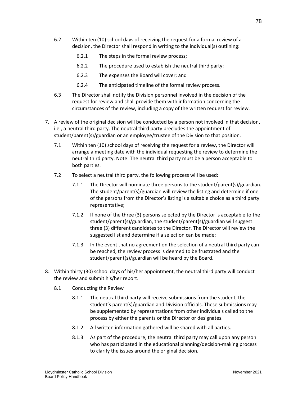- 6.2 Within ten (10) school days of receiving the request for a formal review of a decision, the Director shall respond in writing to the individual(s) outlining:
	- 6.2.1 The steps in the formal review process;
	- 6.2.2 The procedure used to establish the neutral third party;
	- 6.2.3 The expenses the Board will cover; and
	- 6.2.4 The anticipated timeline of the formal review process.
- 6.3 The Director shall notify the Division personnel involved in the decision of the request for review and shall provide them with information concerning the circumstances of the review, including a copy of the written request for review.
- 7. A review of the original decision will be conducted by a person not involved in that decision, i.e., a neutral third party. The neutral third party precludes the appointment of student/parent(s)/guardian or an employee/trustee of the Division to that position.
	- 7.1 Within ten (10) school days of receiving the request for a review, the Director will arrange a meeting date with the individual requesting the review to determine the neutral third party. Note: The neutral third party must be a person acceptable to both parties.
	- 7.2 To select a neutral third party, the following process will be used:
		- 7.1.1 The Director will nominate three persons to the student/parent(s)/guardian. The student/parent(s)/guardian will review the listing and determine if one of the persons from the Director's listing is a suitable choice as a third party representative;
		- 7.1.2 If none of the three (3) persons selected by the Director is acceptable to the student/parent(s)/guardian, the student/parent(s)/guardian will suggest three (3) different candidates to the Director. The Director will review the suggested list and determine if a selection can be made;
		- 7.1.3 In the event that no agreement on the selection of a neutral third party can be reached, the review process is deemed to be frustrated and the student/parent(s)/guardian will be heard by the Board.
- 8. Within thirty (30) school days of his/her appointment, the neutral third party will conduct the review and submit his/her report.
	- 8.1 Conducting the Review
		- 8.1.1 The neutral third party will receive submissions from the student, the student's parent(s)/guardian and Division officials. These submissions may be supplemented by representations from other individuals called to the process by either the parents or the Director or designates.
		- 8.1.2 All written information gathered will be shared with all parties.
		- 8.1.3 As part of the procedure, the neutral third party may call upon any person who has participated in the educational planning/decision-making process to clarify the issues around the original decision.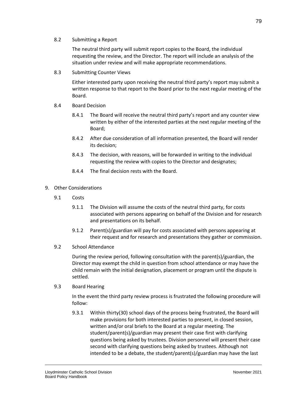The neutral third party will submit report copies to the Board, the individual requesting the review, and the Director. The report will include an analysis of the situation under review and will make appropriate recommendations.

8.3 Submitting Counter Views

Either interested party upon receiving the neutral third party's report may submit a written response to that report to the Board prior to the next regular meeting of the Board.

- 8.4 Board Decision
	- 8.4.1 The Board will receive the neutral third party's report and any counter view written by either of the interested parties at the next regular meeting of the Board;
	- 8.4.2 After due consideration of all information presented, the Board will render its decision;
	- 8.4.3 The decision, with reasons, will be forwarded in writing to the individual requesting the review with copies to the Director and designates;
	- 8.4.4 The final decision rests with the Board.
- 9. Other Considerations
	- 9.1 Costs
		- 9.1.1 The Division will assume the costs of the neutral third party, for costs associated with persons appearing on behalf of the Division and for research and presentations on its behalf.
		- 9.1.2 Parent(s)/guardian will pay for costs associated with persons appearing at their request and for research and presentations they gather or commission.
	- 9.2 School Attendance

During the review period, following consultation with the parent(s)/guardian, the Director may exempt the child in question from school attendance or may have the child remain with the initial designation, placement or program until the dispute is settled.

9.3 Board Hearing

In the event the third party review process is frustrated the following procedure will follow:

9.3.1 Within thirty(30) school days of the process being frustrated, the Board will make provisions for both interested parties to present, in closed session, written and/or oral briefs to the Board at a regular meeting. The student/parent(s)/guardian may present their case first with clarifying questions being asked by trustees. Division personnel will present their case second with clarifying questions being asked by trustees. Although not intended to be a debate, the student/parent(s)/guardian may have the last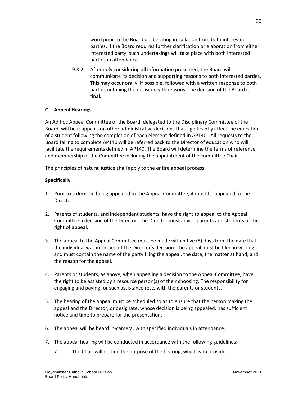word prior to the Board deliberating in isolation from both interested parties. If the Board requires further clarification or elaboration from either interested party, such undertakings will take place with both interested parties in attendance.

9.3.2 After duly considering all information presented, the Board will communicate its decision and supporting reasons to both interested parties. This may occur orally, if possible, followed with a written response to both parties outlining the decision with reasons. The decision of the Board is final.

## **C. Appeal Hearings**

An Ad hoc Appeal Committee of the Board, delegated to the Disciplinary Committee of the Board, will hear appeals on other administrative decisions that significantly affect the education of a student following the completion of each element defined in AP140. All requests to the Board failing to complete AP140 will be referred back to the Director of education who will facilitate the requirements defined in AP140. The Board will determine the terms of reference and membership of the Committee including the appointment of the committee Chair.

The principles of natural justice shall apply to the entire appeal process.

- 1. Prior to a decision being appealed to the Appeal Committee, it must be appealed to the Director.
- 2. Parents of students, and independent students, have the right to appeal to the Appeal Committee a decision of the Director. The Director must advise parents and students of this right of appeal.
- 3. The appeal to the Appeal Committee must be made within five (5) days from the date that the individual was informed of the Director's decision. The appeal must be filed in writing and must contain the name of the party filing the appeal, the date, the matter at hand, and the reason for the appeal.
- 4. Parents or students, as above, when appealing a decision to the Appeal Committee, have the right to be assisted by a resource person(s) of their choosing. The responsibility for engaging and paying for such assistance rests with the parents or students.
- 5. The hearing of the appeal must be scheduled so as to ensure that the person making the appeal and the Director, or designate, whose decision is being appealed, has sufficient notice and time to prepare for the presentation.
- 6. The appeal will be heard in-camera, with specified individuals in attendance.
- 7. The appeal hearing will be conducted in accordance with the following guidelines:
	- 7.1 The Chair will outline the purpose of the hearing, which is to provide: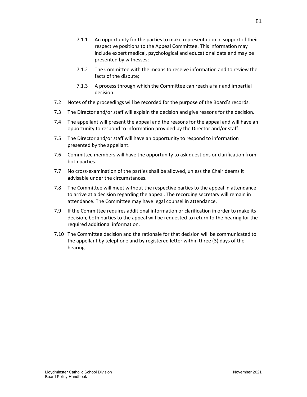- 7.1.1 An opportunity for the parties to make representation in support of their respective positions to the Appeal Committee. This information may include expert medical, psychological and educational data and may be presented by witnesses;
- 7.1.2 The Committee with the means to receive information and to review the facts of the dispute;
- 7.1.3 A process through which the Committee can reach a fair and impartial decision.
- 7.2 Notes of the proceedings will be recorded for the purpose of the Board's records.
- 7.3 The Director and/or staff will explain the decision and give reasons for the decision.
- 7.4 The appellant will present the appeal and the reasons for the appeal and will have an opportunity to respond to information provided by the Director and/or staff.
- 7.5 The Director and/or staff will have an opportunity to respond to information presented by the appellant.
- 7.6 Committee members will have the opportunity to ask questions or clarification from both parties.
- 7.7 No cross-examination of the parties shall be allowed, unless the Chair deems it advisable under the circumstances.
- 7.8 The Committee will meet without the respective parties to the appeal in attendance to arrive at a decision regarding the appeal. The recording secretary will remain in attendance. The Committee may have legal counsel in attendance.
- 7.9 If the Committee requires additional information or clarification in order to make its decision, both parties to the appeal will be requested to return to the hearing for the required additional information.
- 7.10 The Committee decision and the rationale for that decision will be communicated to the appellant by telephone and by registered letter within three (3) days of the hearing.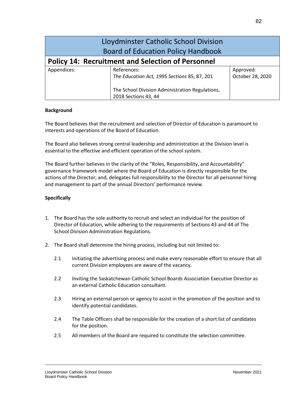| Lloydminster Catholic School Division<br><b>Board of Education Policy Handbook</b> |                                                 |                  |
|------------------------------------------------------------------------------------|-------------------------------------------------|------------------|
| <b>Policy 14: Recruitment and Selection of Personnel</b>                           |                                                 |                  |
| Appendices:                                                                        | References:                                     | Approved:        |
|                                                                                    | The Education Act, 1995 Sections 85, 87, 201    | October 28, 2020 |
|                                                                                    | The School Division Administration Regulations, |                  |
|                                                                                    | 2018 Sections 43, 44                            |                  |

The Board believes that the recruitment and selection of Director of Education is paramount to interests and operations of the Board of Education.

The Board also believes strong central leadership and administration at the Division level is essential to the effective and efficient operation of the school system.

The Board further believes in the clarity of the "Roles, Responsibility, and Accountability" governance framework model where the Board of Education is directly responsible for the actions of the Director; and, delegates full responsibility to the Director for all personnel hiring and management to part of the annual Directors' performance review.

- 1. The Board has the sole authority to recruit and select an individual for the position of Director of Education, while adhering to the requirements of Sections 43 and 44 of The School Division Administration Regulations.
- 2. The Board shall determine the hiring process, including but not limited to:
	- 2.1 Initiating the advertising process and make every reasonable effort to ensure that all current Division employees are aware of the vacancy.
	- 2.2 Inviting the Saskatchewan Catholic School Boards Association Executive Director as an external Catholic Education consultant.
	- 2.3 Hiring an external person or agency to assist in the promotion of the position and to identify potential candidates.
	- 2.4 The Table Officers shall be responsible for the creation of a short list of candidates for the position.
	- 2.5 All members of the Board are required to constitute the selection committee.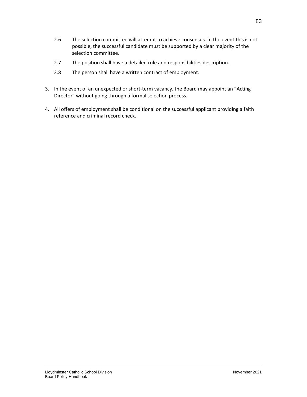- 2.6 The selection committee will attempt to achieve consensus. In the event this is not possible, the successful candidate must be supported by a clear majority of the selection committee.
- 2.7 The position shall have a detailed role and responsibilities description.
- 2.8 The person shall have a written contract of employment.
- 3. In the event of an unexpected or short-term vacancy, the Board may appoint an "Acting Director" without going through a formal selection process.
- 4. All offers of employment shall be conditional on the successful applicant providing a faith reference and criminal record check.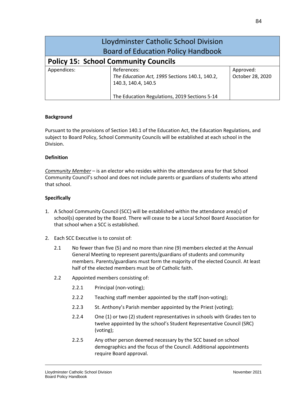| Lloydminster Catholic School Division       |                                                                                                                                       |                               |
|---------------------------------------------|---------------------------------------------------------------------------------------------------------------------------------------|-------------------------------|
| <b>Board of Education Policy Handbook</b>   |                                                                                                                                       |                               |
| <b>Policy 15: School Community Councils</b> |                                                                                                                                       |                               |
| Appendices:                                 | References:<br>The Education Act, 1995 Sections 140.1, 140.2,<br>140.3, 140.4, 140.5<br>The Education Regulations, 2019 Sections 5-14 | Approved:<br>October 28, 2020 |

Pursuant to the provisions of Section 140.1 of the Education Act, the Education Regulations, and subject to Board Policy, School Community Councils will be established at each school in the Division.

## **Definition**

*Community Member* – is an elector who resides within the attendance area for that School Community Council's school and does not include parents or guardians of students who attend that school.

- 1. A School Community Council (SCC) will be established within the attendance area(s) of school(s) operated by the Board. There will cease to be a Local School Board Association for that school when a SCC is established.
- 2. Each SCC Executive is to consist of:
	- 2.1 No fewer than five (5) and no more than nine (9) members elected at the Annual General Meeting to represent parents/guardians of students and community members. Parents/guardians must form the majority of the elected Council. At least half of the elected members must be of Catholic faith.
	- 2.2 Appointed members consisting of:
		- 2.2.1 Principal (non-voting);
		- 2.2.2 Teaching staff member appointed by the staff (non-voting);
		- 2.2.3 St. Anthony's Parish member appointed by the Priest (voting);
		- 2.2.4 One (1) or two (2) student representatives in schools with Grades ten to twelve appointed by the school's Student Representative Council (SRC) (voting);
		- 2.2.5 Any other person deemed necessary by the SCC based on school demographics and the focus of the Council. Additional appointments require Board approval.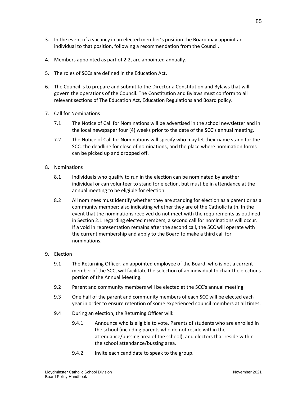- 3. In the event of a vacancy in an elected member's position the Board may appoint an individual to that position, following a recommendation from the Council.
- 4. Members appointed as part of 2.2, are appointed annually.
- 5. The roles of SCCs are defined in the Education Act.
- 6. The Council is to prepare and submit to the Director a Constitution and Bylaws that will govern the operations of the Council. The Constitution and Bylaws must conform to all relevant sections of The Education Act, Education Regulations and Board policy.
- 7. Call for Nominations
	- 7.1 The Notice of Call for Nominations will be advertised in the school newsletter and in the local newspaper four (4) weeks prior to the date of the SCC's annual meeting.
	- 7.2 The Notice of Call for Nominations will specify who may let their name stand for the SCC, the deadline for close of nominations, and the place where nomination forms can be picked up and dropped off.
- 8. Nominations
	- 8.1 Individuals who qualify to run in the election can be nominated by another individual or can volunteer to stand for election, but must be in attendance at the annual meeting to be eligible for election.
	- 8.2 All nominees must identify whether they are standing for election as a parent or as a community member; also indicating whether they are of the Catholic faith. In the event that the nominations received do not meet with the requirements as outlined in Section 2.1 regarding elected members, a second call for nominations will occur. If a void in representation remains after the second call, the SCC will operate with the current membership and apply to the Board to make a third call for nominations.
- 9. Election
	- 9.1 The Returning Officer, an appointed employee of the Board, who is not a current member of the SCC, will facilitate the selection of an individual to chair the elections portion of the Annual Meeting.
	- 9.2 Parent and community members will be elected at the SCC's annual meeting.
	- 9.3 One half of the parent and community members of each SCC will be elected each year in order to ensure retention of some experienced council members at all times.
	- 9.4 During an election, the Returning Officer will:
		- 9.4.1 Announce who is eligible to vote. Parents of students who are enrolled in the school (including parents who do not reside within the attendance/bussing area of the school); and electors that reside within the school attendance/bussing area.
		- 9.4.2 Invite each candidate to speak to the group.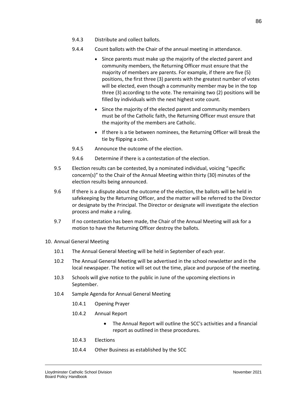- 9.4.3 Distribute and collect ballots.
- 9.4.4 Count ballots with the Chair of the annual meeting in attendance.
	- Since parents must make up the majority of the elected parent and community members, the Returning Officer must ensure that the majority of members are parents. For example, if there are five (5) positions, the first three (3) parents with the greatest number of votes will be elected, even though a community member may be in the top three (3) according to the vote. The remaining two (2) positions will be filled by individuals with the next highest vote count.
	- Since the majority of the elected parent and community members must be of the Catholic faith, the Returning Officer must ensure that the majority of the members are Catholic.
	- If there is a tie between nominees, the Returning Officer will break the tie by flipping a coin.
- 9.4.5 Announce the outcome of the election.
- 9.4.6 Determine if there is a contestation of the election.
- 9.5 Election results can be contested, by a nominated individual, voicing "specific concern(s)" to the Chair of the Annual Meeting within thirty (30) minutes of the election results being announced.
- 9.6 If there is a dispute about the outcome of the election, the ballots will be held in safekeeping by the Returning Officer, and the matter will be referred to the Director or designate by the Principal. The Director or designate will investigate the election process and make a ruling.
- 9.7 If no contestation has been made, the Chair of the Annual Meeting will ask for a motion to have the Returning Officer destroy the ballots.
- 10. Annual General Meeting
	- 10.1 The Annual General Meeting will be held in September of each year.
	- 10.2 The Annual General Meeting will be advertised in the school newsletter and in the local newspaper. The notice will set out the time, place and purpose of the meeting.
	- 10.3 Schools will give notice to the public in June of the upcoming elections in September.
	- 10.4 Sample Agenda for Annual General Meeting
		- 10.4.1 Opening Prayer
		- 10.4.2 Annual Report
			- The Annual Report will outline the SCC's activities and a financial report as outlined in these procedures.
		- 10.4.3 Elections
		- 10.4.4 Other Business as established by the SCC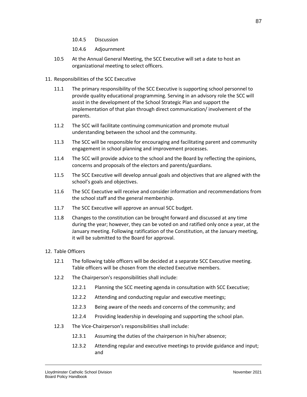- 10.4.5 Discussion
- 10.4.6 Adjournment
- 10.5 At the Annual General Meeting, the SCC Executive will set a date to host an organizational meeting to select officers.
- 11. Responsibilities of the SCC Executive
	- 11.1 The primary responsibility of the SCC Executive is supporting school personnel to provide quality educational programming. Serving in an advisory role the SCC will assist in the development of the School Strategic Plan and support the implementation of that plan through direct communication/ involvement of the parents.
	- 11.2 The SCC will facilitate continuing communication and promote mutual understanding between the school and the community.
	- 11.3 The SCC will be responsible for encouraging and facilitating parent and community engagement in school planning and improvement processes.
	- 11.4 The SCC will provide advice to the school and the Board by reflecting the opinions, concerns and proposals of the electors and parents/guardians.
	- 11.5 The SCC Executive will develop annual goals and objectives that are aligned with the school's goals and objectives.
	- 11.6 The SCC Executive will receive and consider information and recommendations from the school staff and the general membership.
	- 11.7 The SCC Executive will approve an annual SCC budget.
	- 11.8 Changes to the constitution can be brought forward and discussed at any time during the year; however, they can be voted on and ratified only once a year, at the January meeting. Following ratification of the Constitution, at the January meeting, it will be submitted to the Board for approval.
- 12. Table Officers
	- 12.1 The following table officers will be decided at a separate SCC Executive meeting. Table officers will be chosen from the elected Executive members.
	- 12.2 The Chairperson's responsibilities shall include:
		- 12.2.1 Planning the SCC meeting agenda in consultation with SCC Executive;
		- 12.2.2 Attending and conducting regular and executive meetings;
		- 12.2.3 Being aware of the needs and concerns of the community; and
		- 12.2.4 Providing leadership in developing and supporting the school plan.
	- 12.3 The Vice-Chairperson's responsibilities shall include:
		- 12.3.1 Assuming the duties of the chairperson in his/her absence;
		- 12.3.2 Attending regular and executive meetings to provide guidance and input; and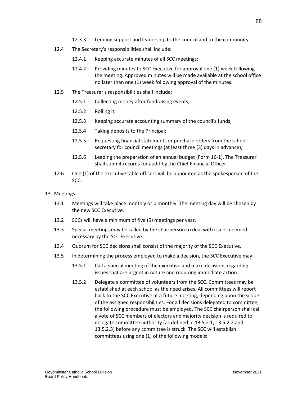- 12.3.3 Lending support and leadership to the council and to the community.
- 12.4 The Secretary's responsibilities shall include:
	- 12.4.1 Keeping accurate minutes of all SCC meetings;
	- 12.4.2 Providing minutes to SCC Executive for approval one (1) week following the meeting. Approved minutes will be made available at the school office no later than one (1) week following approval of the minutes.
- 12.5 The Treasurer's responsibilities shall include:
	- 12.5.1 Collecting money after fundraising events;
	- 12.5.2 Rolling it;
	- 12.5.3 Keeping accurate accounting summary of the council's funds;
	- 12.5.4 Taking deposits to the Principal;
	- 12.5.5 Requesting financial statements or purchase orders from the school secretary for council meetings (at least three (3) days in advance);
	- 12.5.6 Leading the preparation of an annual budget (Form 16-1). The Treasurer shall submit records for audit by the Chief Financial Officer.
- 12.6 One (1) of the executive table officers will be appointed as the spokesperson of the SCC.

#### 13. Meetings

- 13.1 Meetings will take place monthly or bimonthly. The meeting day will be chosen by the new SCC Executive.
- 13.2 SCCs will have a minimum of five (5) meetings per year.
- 13.3 Special meetings may be called by the chairperson to deal with issues deemed necessary by the SCC Executive.
- 13.4 Quorum for SCC decisions shall consist of the majority of the SCC Executive.
- 13.5 In determining the process employed to make a decision, the SCC Executive may:
	- 13.5.1 Call a special meeting of the executive and make decisions regarding issues that are urgent in nature and requiring immediate action.
	- 13.5.2 Delegate a committee of volunteers from the SCC. Committees may be established at each school as the need arises. All committees will report back to the SCC Executive at a future meeting, depending upon the scope of the assigned responsibilities. For all decisions delegated to committee, the following procedure must be employed. The SCC chairperson shall call a vote of SCC members of electors and majority decision is required to delegate committee authority (as defined in 13.5.2.1, 13.5.2.2 and 13.5.2.3) before any committee is struck. The SCC will establish committees using one (1) of the following models: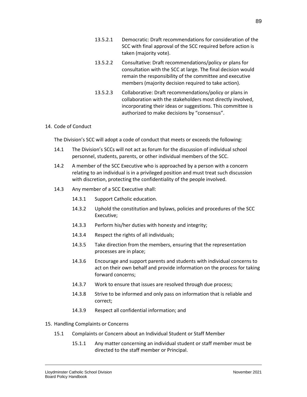- 13.5.2.1 Democratic: Draft recommendations for consideration of the SCC with final approval of the SCC required before action is taken (majority vote).
- 13.5.2.2 Consultative: Draft recommendations/policy or plans for consultation with the SCC at large. The final decision would remain the responsibility of the committee and executive members (majority decision required to take action).
- 13.5.2.3 Collaborative: Draft recommendations/policy or plans in collaboration with the stakeholders most directly involved, incorporating their ideas or suggestions. This committee is authorized to make decisions by "consensus".

#### 14. Code of Conduct

The Division's SCC will adopt a code of conduct that meets or exceeds the following:

- 14.1 The Division's SCCs will not act as forum for the discussion of individual school personnel, students, parents, or other individual members of the SCC.
- 14.2 A member of the SCC Executive who is approached by a person with a concern relating to an individual is in a privileged position and must treat such discussion with discretion, protecting the confidentiality of the people involved.
- 14.3 Any member of a SCC Executive shall:
	- 14.3.1 Support Catholic education.
	- 14.3.2 Uphold the constitution and bylaws, policies and procedures of the SCC Executive;
	- 14.3.3 Perform his/her duties with honesty and integrity;
	- 14.3.4 Respect the rights of all individuals;
	- 14.3.5 Take direction from the members, ensuring that the representation processes are in place;
	- 14.3.6 Encourage and support parents and students with individual concerns to act on their own behalf and provide information on the process for taking forward concerns;
	- 14.3.7 Work to ensure that issues are resolved through due process;
	- 14.3.8 Strive to be informed and only pass on information that is reliable and correct;
	- 14.3.9 Respect all confidential information; and
- 15. Handling Complaints or Concerns
	- 15.1 Complaints or Concern about an Individual Student or Staff Member
		- 15.1.1 Any matter concerning an individual student or staff member must be directed to the staff member or Principal.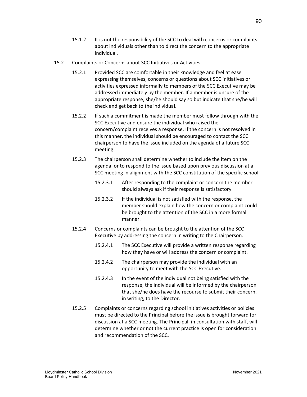- 15.1.2 It is not the responsibility of the SCC to deal with concerns or complaints about individuals other than to direct the concern to the appropriate individual.
- 15.2 Complaints or Concerns about SCC Initiatives or Activities
	- 15.2.1 Provided SCC are comfortable in their knowledge and feel at ease expressing themselves, concerns or questions about SCC initiatives or activities expressed informally to members of the SCC Executive may be addressed immediately by the member. If a member is unsure of the appropriate response, she/he should say so but indicate that she/he will check and get back to the individual.
	- 15.2.2 If such a commitment is made the member must follow through with the SCC Executive and ensure the individual who raised the concern/complaint receives a response. If the concern is not resolved in this manner, the individual should be encouraged to contact the SCC chairperson to have the issue included on the agenda of a future SCC meeting.
	- 15.2.3 The chairperson shall determine whether to include the item on the agenda, or to respond to the issue based upon previous discussion at a SCC meeting in alignment with the SCC constitution of the specific school.
		- 15.2.3.1 After responding to the complaint or concern the member should always ask if their response is satisfactory.
		- 15.2.3.2 If the individual is not satisfied with the response, the member should explain how the concern or complaint could be brought to the attention of the SCC in a more formal manner.
	- 15.2.4 Concerns or complaints can be brought to the attention of the SCC Executive by addressing the concern in writing to the Chairperson.
		- 15.2.4.1 The SCC Executive will provide a written response regarding how they have or will address the concern or complaint.
		- 15.2.4.2 The chairperson may provide the individual with an opportunity to meet with the SCC Executive.
		- 15.2.4.3 In the event of the individual not being satisfied with the response, the individual will be informed by the chairperson that she/he does have the recourse to submit their concern, in writing, to the Director.
	- 15.2.5 Complaints or concerns regarding school initiatives activities or policies must be directed to the Principal before the issue is brought forward for discussion at a SCC meeting. The Principal, in consultation with staff, will determine whether or not the current practice is open for consideration and recommendation of the SCC.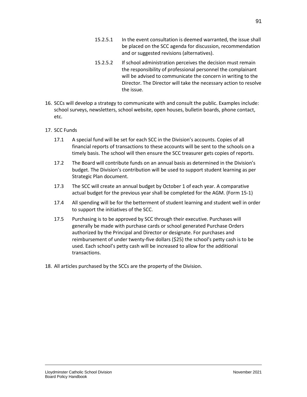- 15.2.5.1 In the event consultation is deemed warranted, the issue shall be placed on the SCC agenda for discussion, recommendation and or suggested revisions (alternatives).
- 15.2.5.2 If school administration perceives the decision must remain the responsibility of professional personnel the complainant will be advised to communicate the concern in writing to the Director. The Director will take the necessary action to resolve the issue.
- 16. SCCs will develop a strategy to communicate with and consult the public. Examples include: school surveys, newsletters, school website, open houses, bulletin boards, phone contact, etc.
- 17. SCC Funds
	- 17.1 A special fund will be set for each SCC in the Division's accounts. Copies of all financial reports of transactions to these accounts will be sent to the schools on a timely basis. The school will then ensure the SCC treasurer gets copies of reports.
	- 17.2 The Board will contribute funds on an annual basis as determined in the Division's budget. The Division's contribution will be used to support student learning as per Strategic Plan document.
	- 17.3 The SCC will create an annual budget by October 1 of each year. A comparative actual budget for the previous year shall be completed for the AGM. (Form 15-1)
	- 17.4 All spending will be for the betterment of student learning and student well in order to support the initiatives of the SCC.
	- 17.5 Purchasing is to be approved by SCC through their executive. Purchases will generally be made with purchase cards or school generated Purchase Orders authorized by the Principal and Director or designate. For purchases and reimbursement of under twenty-five dollars (\$25) the school's petty cash is to be used. Each school's petty cash will be increased to allow for the additional transactions.
- 18. All articles purchased by the SCCs are the property of the Division.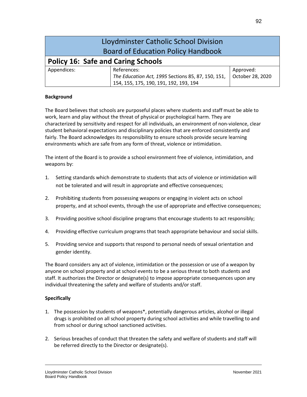| Lloydminster Catholic School Division     |                                                    |                  |
|-------------------------------------------|----------------------------------------------------|------------------|
| <b>Board of Education Policy Handbook</b> |                                                    |                  |
| <b>Policy 16: Safe and Caring Schools</b> |                                                    |                  |
| Appendices:                               | References:                                        | Approved:        |
|                                           | The Education Act, 1995 Sections 85, 87, 150, 151, | October 28, 2020 |
|                                           | 154, 155, 175, 190, 191, 192, 193, 194             |                  |

The Board believes that schools are purposeful places where students and staff must be able to work, learn and play without the threat of physical or psychological harm. They are characterized by sensitivity and respect for all individuals, an environment of non-violence, clear student behavioral expectations and disciplinary policies that are enforced consistently and fairly. The Board acknowledges its responsibility to ensure schools provide secure learning environments which are safe from any form of threat, violence or intimidation.

The intent of the Board is to provide a school environment free of violence, intimidation, and weapons by:

- 1. Setting standards which demonstrate to students that acts of violence or intimidation will not be tolerated and will result in appropriate and effective consequences;
- 2. Prohibiting students from possessing weapons or engaging in violent acts on school property, and at school events, through the use of appropriate and effective consequences;
- 3. Providing positive school discipline programs that encourage students to act responsibly;
- 4. Providing effective curriculum programs that teach appropriate behaviour and social skills.
- 5. Providing service and supports that respond to personal needs of sexual orientation and gender identity.

The Board considers any act of violence, intimidation or the possession or use of a weapon by anyone on school property and at school events to be a serious threat to both students and staff. It authorizes the Director or designate(s) to impose appropriate consequences upon any individual threatening the safety and welfare of students and/or staff.

- 1. The possession by students of weapons\*, potentially dangerous articles, alcohol or illegal drugs is prohibited on all school property during school activities and while travelling to and from school or during school sanctioned activities.
- 2. Serious breaches of conduct that threaten the safety and welfare of students and staff will be referred directly to the Director or designate(s).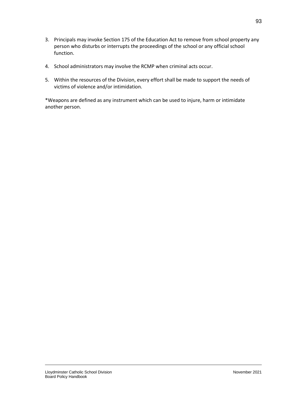- 3. Principals may invoke Section 175 of the Education Act to remove from school property any person who disturbs or interrupts the proceedings of the school or any official school function.
- 4. School administrators may involve the RCMP when criminal acts occur.
- 5. Within the resources of the Division, every effort shall be made to support the needs of victims of violence and/or intimidation.

\*Weapons are defined as any instrument which can be used to injure, harm or intimidate another person.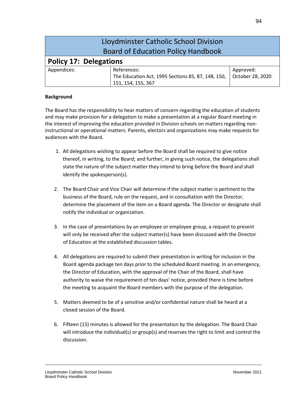| Lloydminster Catholic School Division<br><b>Board of Education Policy Handbook</b> |                                                                          |                  |
|------------------------------------------------------------------------------------|--------------------------------------------------------------------------|------------------|
| <b>Policy 17: Delegations</b>                                                      |                                                                          |                  |
| Appendices:                                                                        | References:                                                              | Approved:        |
|                                                                                    | The Education Act, 1995 Sections 85, 87, 148, 150,<br>151, 154, 155, 367 | October 28, 2020 |

The Board has the responsibility to hear matters of concern regarding the education of students and may make provision for a delegation to make a presentation at a regular Board meeting in the interest of improving the education provided in Division schools on matters regarding noninstructional or operational matters. Parents, electors and organizations may make requests for audiences with the Board.

- 1. All delegations wishing to appear before the Board shall be required to give notice thereof, in writing, to the Board; and further, in giving such notice, the delegations shall state the nature of the subject matter they intend to bring before the Board and shall identify the spokesperson(s).
- 2. The Board Chair and Vice Chair will determine if the subject matter is pertinent to the business of the Board, rule on the request, and in consultation with the Director, determine the placement of the item on a Board agenda. The Director or designate shall notify the individual or organization.
- 3. In the case of presentations by an employee or employee group, a request to present will only be received after the subject matter(s) have been discussed with the Director of Education at the established discussion tables.
- 4. All delegations are required to submit their presentation in writing for inclusion in the Board agenda package ten days prior to the scheduled Board meeting. In an emergency, the Director of Education, with the approval of the Chair of the Board, shall have authority to waive the requirement of ten days' notice, provided there is time before the meeting to acquaint the Board members with the purpose of the delegation.
- 5. Matters deemed to be of a sensitive and/or confidential nature shall be heard at a closed session of the Board.
- 6. Fifteen (15) minutes is allowed for the presentation by the delegation. The Board Chair will introduce the individual(s) or group(s) and reserves the right to limit and control the discussion.

94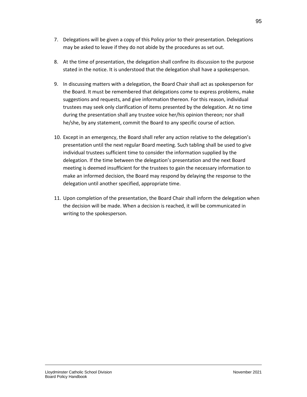- 7. Delegations will be given a copy of this Policy prior to their presentation. Delegations may be asked to leave if they do not abide by the procedures as set out.
- 8. At the time of presentation, the delegation shall confine its discussion to the purpose stated in the notice. It is understood that the delegation shall have a spokesperson.
- 9. In discussing matters with a delegation, the Board Chair shall act as spokesperson for the Board. It must be remembered that delegations come to express problems, make suggestions and requests, and give information thereon. For this reason, individual trustees may seek only clarification of items presented by the delegation. At no time during the presentation shall any trustee voice her/his opinion thereon; nor shall he/she, by any statement, commit the Board to any specific course of action.
- 10. Except in an emergency, the Board shall refer any action relative to the delegation's presentation until the next regular Board meeting. Such tabling shall be used to give individual trustees sufficient time to consider the information supplied by the delegation. If the time between the delegation's presentation and the next Board meeting is deemed insufficient for the trustees to gain the necessary information to make an informed decision, the Board may respond by delaying the response to the delegation until another specified, appropriate time.
- 11. Upon completion of the presentation, the Board Chair shall inform the delegation when the decision will be made. When a decision is reached, it will be communicated in writing to the spokesperson.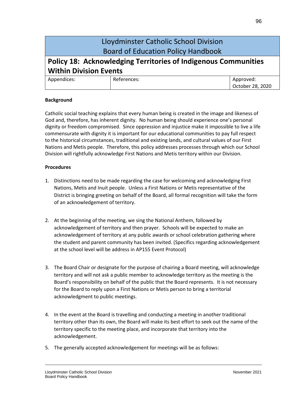## Lloydminster Catholic School Division Board of Education Policy Handbook

# **Policy 18: Acknowledging Territories of Indigenous Communities Within Division Events**

| Appendices: | References: | Approved:        |
|-------------|-------------|------------------|
|             |             | October 28, 2020 |

## **Background**

Catholic social teaching explains that every human being is created in the image and likeness of God and, therefore, has inherent dignity. No human being should experience one's personal dignity or freedom compromised. Since oppression and injustice make it impossible to live a life commensurate with dignity it is important for our educational communities to pay full respect to the historical circumstances, traditional and existing lands, and cultural values of our First Nations and Metis people. Therefore, this policy addresses processes through which our School Division will rightfully acknowledge First Nations and Metis territory within our Division.

## **Procedures**

- 1. Distinctions need to be made regarding the case for welcoming and acknowledging First Nations, Metis and Inuit people. Unless a First Nations or Metis representative of the District is bringing greeting on behalf of the Board, all formal recognition will take the form of an acknowledgement of territory.
- 2. At the beginning of the meeting, we sing the National Anthem, followed by acknowledgement of territory and then prayer. Schools will be expected to make an acknowledgement of territory at any public awards or school celebration gathering where the student and parent community has been invited. (Specifics regarding acknowledgement at the school level will be address in AP155 Event Protocol)
- 3. The Board Chair or designate for the purpose of chairing a Board meeting, will acknowledge territory and will not ask a public member to acknowledge territory as the meeting is the Board's responsibility on behalf of the public that the Board represents. It is not necessary for the Board to reply upon a First Nations or Metis person to bring a territorial acknowledgment to public meetings.
- 4. In the event at the Board is travelling and conducting a meeting in another traditional territory other than its own, the Board will make its best effort to seek out the name of the territory specific to the meeting place, and incorporate that territory into the acknowledgement.
- 5. The generally accepted acknowledgement for meetings will be as follows: